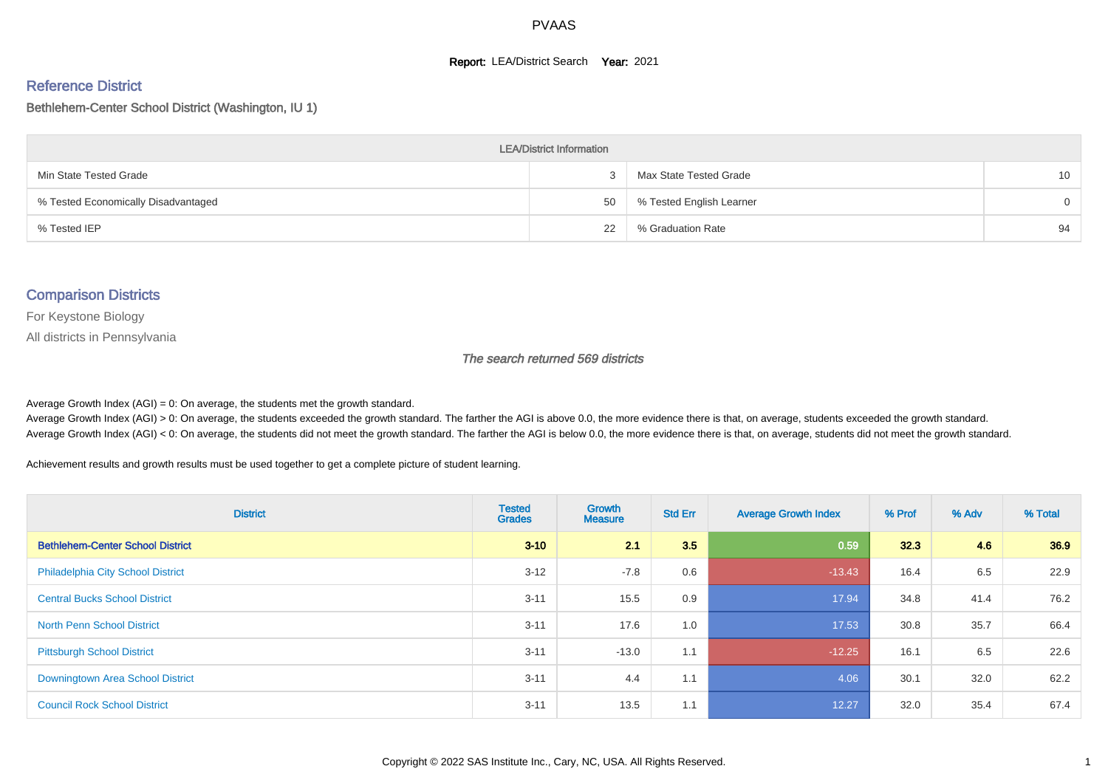#### **Report: LEA/District Search Year: 2021**

#### Reference District

#### Bethlehem-Center School District (Washington, IU 1)

| <b>LEA/District Information</b>     |    |                          |          |  |  |  |  |  |  |  |
|-------------------------------------|----|--------------------------|----------|--|--|--|--|--|--|--|
| Min State Tested Grade              |    | Max State Tested Grade   | 10       |  |  |  |  |  |  |  |
| % Tested Economically Disadvantaged | 50 | % Tested English Learner | $\Omega$ |  |  |  |  |  |  |  |
| % Tested IEP                        | 22 | % Graduation Rate        | 94       |  |  |  |  |  |  |  |

#### Comparison Districts

For Keystone Biology

All districts in Pennsylvania

The search returned 569 districts

Average Growth Index  $(AGI) = 0$ : On average, the students met the growth standard.

Average Growth Index (AGI) > 0: On average, the students exceeded the growth standard. The farther the AGI is above 0.0, the more evidence there is that, on average, students exceeded the growth standard. Average Growth Index (AGI) < 0: On average, the students did not meet the growth standard. The farther the AGI is below 0.0, the more evidence there is that, on average, students did not meet the growth standard.

Achievement results and growth results must be used together to get a complete picture of student learning.

| <b>District</b>                          | <b>Tested</b><br><b>Grades</b> | Growth<br><b>Measure</b> | <b>Std Err</b> | <b>Average Growth Index</b> | % Prof | % Adv | % Total |
|------------------------------------------|--------------------------------|--------------------------|----------------|-----------------------------|--------|-------|---------|
| <b>Bethlehem-Center School District</b>  | $3 - 10$                       | 21                       | 3.5            | 0.59                        | 32.3   | 4.6   | 36.9    |
| <b>Philadelphia City School District</b> | $3 - 12$                       | $-7.8$                   | 0.6            | $-13.43$                    | 16.4   | 6.5   | 22.9    |
| <b>Central Bucks School District</b>     | $3 - 11$                       | 15.5                     | 0.9            | 17.94                       | 34.8   | 41.4  | 76.2    |
| <b>North Penn School District</b>        | $3 - 11$                       | 17.6                     | 1.0            | 17.53                       | 30.8   | 35.7  | 66.4    |
| <b>Pittsburgh School District</b>        | $3 - 11$                       | $-13.0$                  | 1.1            | $-12.25$                    | 16.1   | 6.5   | 22.6    |
| <b>Downingtown Area School District</b>  | $3 - 11$                       | 4.4                      | 1.1            | 4.06                        | 30.1   | 32.0  | 62.2    |
| <b>Council Rock School District</b>      | $3 - 11$                       | 13.5                     | 1.1            | 12.27                       | 32.0   | 35.4  | 67.4    |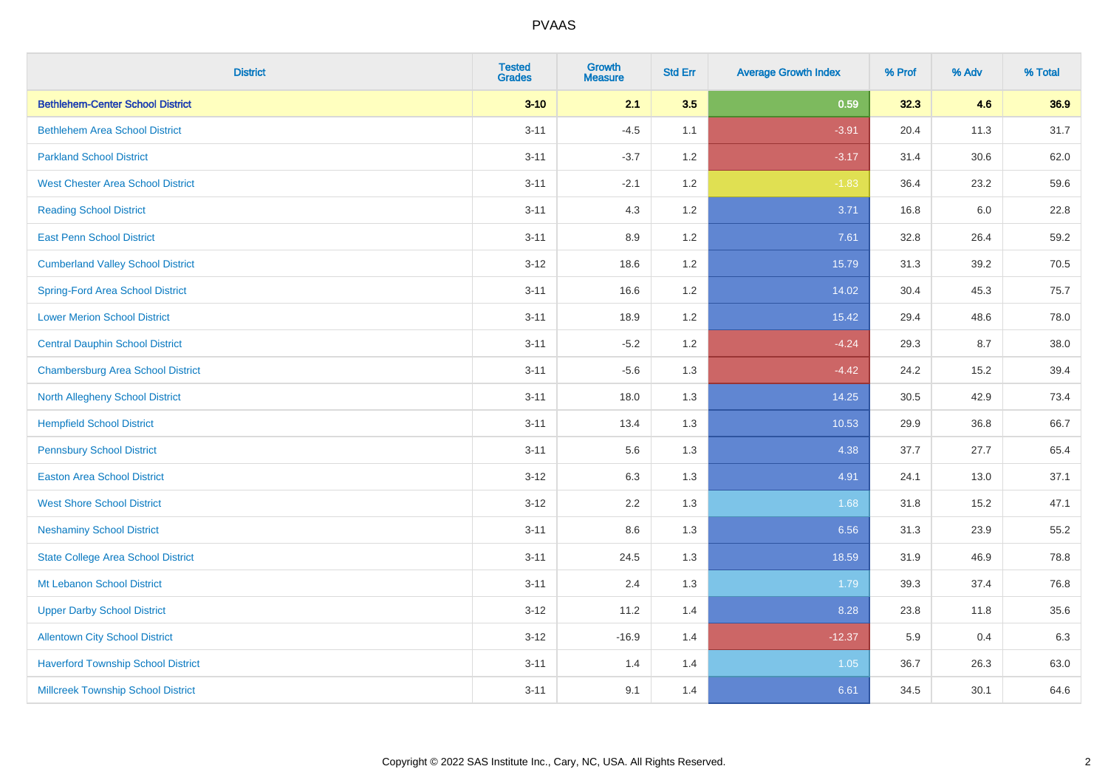| <b>District</b>                           | <b>Tested</b><br><b>Grades</b> | <b>Growth</b><br><b>Measure</b> | <b>Std Err</b> | <b>Average Growth Index</b> | % Prof | % Adv | % Total |
|-------------------------------------------|--------------------------------|---------------------------------|----------------|-----------------------------|--------|-------|---------|
| <b>Bethlehem-Center School District</b>   | $3 - 10$                       | 2.1                             | 3.5            | 0.59                        | 32.3   | 4.6   | 36.9    |
| <b>Bethlehem Area School District</b>     | $3 - 11$                       | $-4.5$                          | 1.1            | $-3.91$                     | 20.4   | 11.3  | 31.7    |
| <b>Parkland School District</b>           | $3 - 11$                       | $-3.7$                          | 1.2            | $-3.17$                     | 31.4   | 30.6  | 62.0    |
| <b>West Chester Area School District</b>  | $3 - 11$                       | $-2.1$                          | 1.2            | $-1.83$                     | 36.4   | 23.2  | 59.6    |
| <b>Reading School District</b>            | $3 - 11$                       | 4.3                             | 1.2            | 3.71                        | 16.8   | 6.0   | 22.8    |
| <b>East Penn School District</b>          | $3 - 11$                       | 8.9                             | 1.2            | 7.61                        | 32.8   | 26.4  | 59.2    |
| <b>Cumberland Valley School District</b>  | $3 - 12$                       | 18.6                            | 1.2            | 15.79                       | 31.3   | 39.2  | 70.5    |
| <b>Spring-Ford Area School District</b>   | $3 - 11$                       | 16.6                            | 1.2            | 14.02                       | 30.4   | 45.3  | 75.7    |
| <b>Lower Merion School District</b>       | $3 - 11$                       | 18.9                            | 1.2            | 15.42                       | 29.4   | 48.6  | 78.0    |
| <b>Central Dauphin School District</b>    | $3 - 11$                       | $-5.2$                          | 1.2            | $-4.24$                     | 29.3   | 8.7   | 38.0    |
| <b>Chambersburg Area School District</b>  | $3 - 11$                       | $-5.6$                          | 1.3            | $-4.42$                     | 24.2   | 15.2  | 39.4    |
| <b>North Allegheny School District</b>    | $3 - 11$                       | 18.0                            | 1.3            | 14.25                       | 30.5   | 42.9  | 73.4    |
| <b>Hempfield School District</b>          | $3 - 11$                       | 13.4                            | 1.3            | 10.53                       | 29.9   | 36.8  | 66.7    |
| <b>Pennsbury School District</b>          | $3 - 11$                       | 5.6                             | 1.3            | 4.38                        | 37.7   | 27.7  | 65.4    |
| <b>Easton Area School District</b>        | $3 - 12$                       | 6.3                             | 1.3            | 4.91                        | 24.1   | 13.0  | 37.1    |
| <b>West Shore School District</b>         | $3 - 12$                       | 2.2                             | 1.3            | 1.68                        | 31.8   | 15.2  | 47.1    |
| <b>Neshaminy School District</b>          | $3 - 11$                       | 8.6                             | 1.3            | 6.56                        | 31.3   | 23.9  | 55.2    |
| <b>State College Area School District</b> | $3 - 11$                       | 24.5                            | 1.3            | 18.59                       | 31.9   | 46.9  | 78.8    |
| Mt Lebanon School District                | $3 - 11$                       | 2.4                             | 1.3            | 1.79                        | 39.3   | 37.4  | 76.8    |
| <b>Upper Darby School District</b>        | $3 - 12$                       | 11.2                            | 1.4            | 8.28                        | 23.8   | 11.8  | 35.6    |
| <b>Allentown City School District</b>     | $3 - 12$                       | $-16.9$                         | 1.4            | $-12.37$                    | 5.9    | 0.4   | 6.3     |
| <b>Haverford Township School District</b> | $3 - 11$                       | 1.4                             | 1.4            | 1.05                        | 36.7   | 26.3  | 63.0    |
| <b>Millcreek Township School District</b> | $3 - 11$                       | 9.1                             | 1.4            | 6.61                        | 34.5   | 30.1  | 64.6    |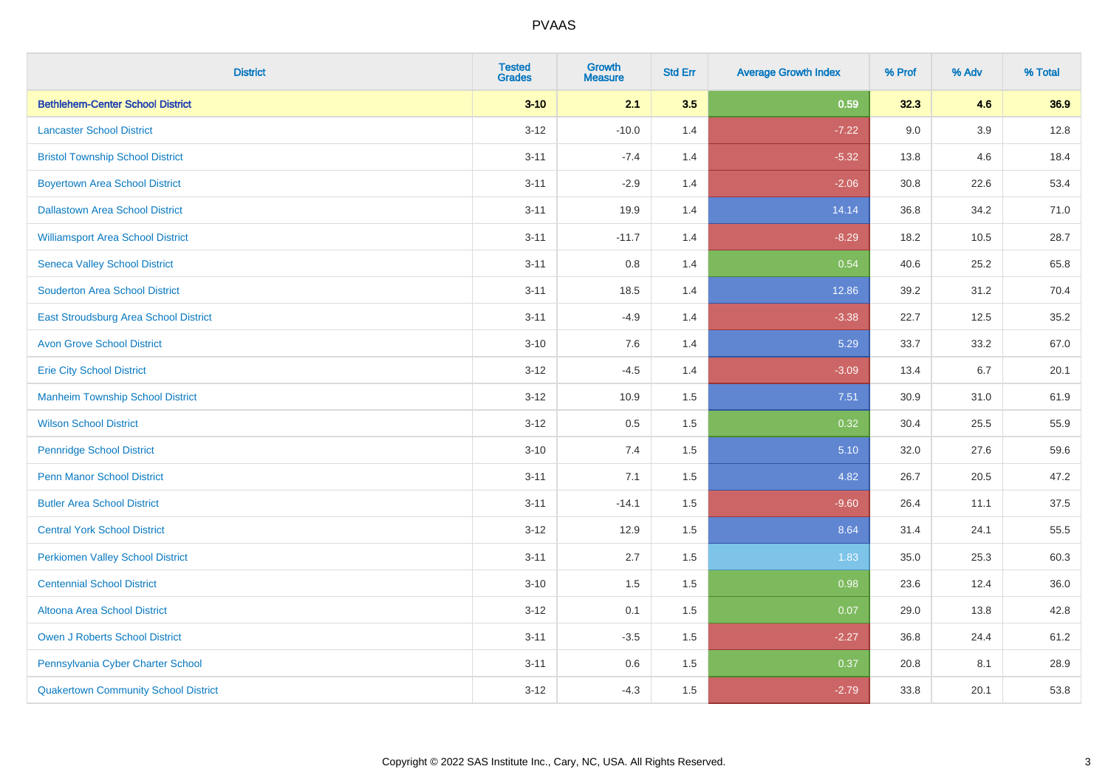| <b>District</b>                             | <b>Tested</b><br><b>Grades</b> | <b>Growth</b><br><b>Measure</b> | <b>Std Err</b> | <b>Average Growth Index</b> | % Prof | % Adv   | % Total |
|---------------------------------------------|--------------------------------|---------------------------------|----------------|-----------------------------|--------|---------|---------|
| <b>Bethlehem-Center School District</b>     | $3 - 10$                       | 2.1                             | 3.5            | 0.59                        | 32.3   | 4.6     | 36.9    |
| <b>Lancaster School District</b>            | $3 - 12$                       | $-10.0$                         | 1.4            | $-7.22$                     | 9.0    | $3.9\,$ | 12.8    |
| <b>Bristol Township School District</b>     | $3 - 11$                       | $-7.4$                          | 1.4            | $-5.32$                     | 13.8   | 4.6     | 18.4    |
| <b>Boyertown Area School District</b>       | $3 - 11$                       | $-2.9$                          | 1.4            | $-2.06$                     | 30.8   | 22.6    | 53.4    |
| <b>Dallastown Area School District</b>      | $3 - 11$                       | 19.9                            | 1.4            | 14.14                       | 36.8   | 34.2    | 71.0    |
| <b>Williamsport Area School District</b>    | $3 - 11$                       | $-11.7$                         | 1.4            | $-8.29$                     | 18.2   | 10.5    | 28.7    |
| <b>Seneca Valley School District</b>        | $3 - 11$                       | 0.8                             | 1.4            | 0.54                        | 40.6   | 25.2    | 65.8    |
| <b>Souderton Area School District</b>       | $3 - 11$                       | 18.5                            | 1.4            | 12.86                       | 39.2   | 31.2    | 70.4    |
| East Stroudsburg Area School District       | $3 - 11$                       | $-4.9$                          | 1.4            | $-3.38$                     | 22.7   | 12.5    | 35.2    |
| <b>Avon Grove School District</b>           | $3 - 10$                       | 7.6                             | 1.4            | 5.29                        | 33.7   | 33.2    | 67.0    |
| <b>Erie City School District</b>            | $3 - 12$                       | $-4.5$                          | 1.4            | $-3.09$                     | 13.4   | 6.7     | 20.1    |
| <b>Manheim Township School District</b>     | $3 - 12$                       | 10.9                            | 1.5            | 7.51                        | 30.9   | 31.0    | 61.9    |
| <b>Wilson School District</b>               | $3 - 12$                       | 0.5                             | 1.5            | 0.32                        | 30.4   | 25.5    | 55.9    |
| <b>Pennridge School District</b>            | $3 - 10$                       | 7.4                             | 1.5            | 5.10                        | 32.0   | 27.6    | 59.6    |
| <b>Penn Manor School District</b>           | $3 - 11$                       | 7.1                             | 1.5            | 4.82                        | 26.7   | 20.5    | 47.2    |
| <b>Butler Area School District</b>          | $3 - 11$                       | $-14.1$                         | 1.5            | $-9.60$                     | 26.4   | 11.1    | 37.5    |
| <b>Central York School District</b>         | $3 - 12$                       | 12.9                            | 1.5            | 8.64                        | 31.4   | 24.1    | 55.5    |
| <b>Perkiomen Valley School District</b>     | $3 - 11$                       | 2.7                             | 1.5            | 1.83                        | 35.0   | 25.3    | 60.3    |
| <b>Centennial School District</b>           | $3 - 10$                       | 1.5                             | 1.5            | 0.98                        | 23.6   | 12.4    | 36.0    |
| Altoona Area School District                | $3-12$                         | 0.1                             | 1.5            | 0.07                        | 29.0   | 13.8    | 42.8    |
| Owen J Roberts School District              | $3 - 11$                       | $-3.5$                          | 1.5            | $-2.27$                     | 36.8   | 24.4    | 61.2    |
| Pennsylvania Cyber Charter School           | $3 - 11$                       | 0.6                             | 1.5            | 0.37                        | 20.8   | 8.1     | 28.9    |
| <b>Quakertown Community School District</b> | $3-12$                         | $-4.3$                          | 1.5            | $-2.79$                     | 33.8   | 20.1    | 53.8    |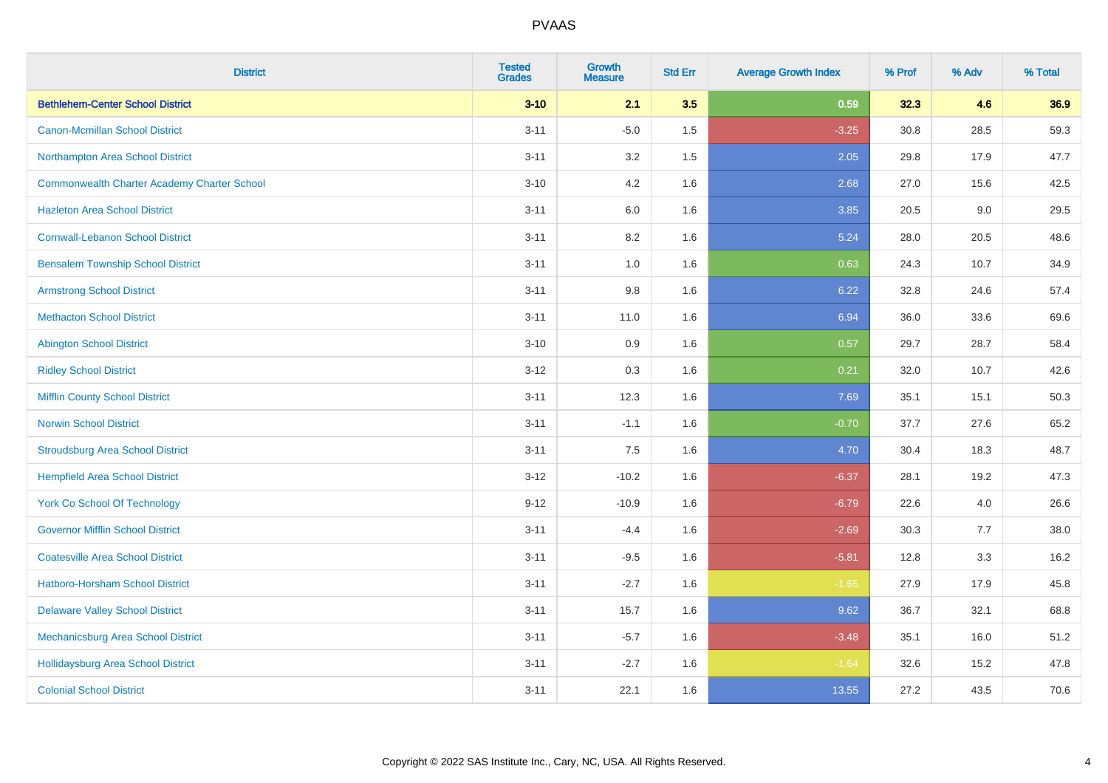| <b>District</b>                                    | <b>Tested</b><br><b>Grades</b> | <b>Growth</b><br><b>Measure</b> | <b>Std Err</b> | <b>Average Growth Index</b> | % Prof | % Adv | % Total |
|----------------------------------------------------|--------------------------------|---------------------------------|----------------|-----------------------------|--------|-------|---------|
| <b>Bethlehem-Center School District</b>            | $3 - 10$                       | 2.1                             | 3.5            | 0.59                        | 32.3   | 4.6   | 36.9    |
| <b>Canon-Mcmillan School District</b>              | $3 - 11$                       | $-5.0$                          | $1.5\,$        | $-3.25$                     | 30.8   | 28.5  | 59.3    |
| Northampton Area School District                   | $3 - 11$                       | 3.2                             | 1.5            | 2.05                        | 29.8   | 17.9  | 47.7    |
| <b>Commonwealth Charter Academy Charter School</b> | $3 - 10$                       | 4.2                             | 1.6            | 2.68                        | 27.0   | 15.6  | 42.5    |
| <b>Hazleton Area School District</b>               | $3 - 11$                       | 6.0                             | 1.6            | 3.85                        | 20.5   | 9.0   | 29.5    |
| <b>Cornwall-Lebanon School District</b>            | $3 - 11$                       | 8.2                             | 1.6            | 5.24                        | 28.0   | 20.5  | 48.6    |
| <b>Bensalem Township School District</b>           | $3 - 11$                       | 1.0                             | 1.6            | 0.63                        | 24.3   | 10.7  | 34.9    |
| <b>Armstrong School District</b>                   | $3 - 11$                       | 9.8                             | 1.6            | 6.22                        | 32.8   | 24.6  | 57.4    |
| <b>Methacton School District</b>                   | $3 - 11$                       | 11.0                            | 1.6            | 6.94                        | 36.0   | 33.6  | 69.6    |
| <b>Abington School District</b>                    | $3 - 10$                       | 0.9                             | 1.6            | 0.57                        | 29.7   | 28.7  | 58.4    |
| <b>Ridley School District</b>                      | $3 - 12$                       | 0.3                             | 1.6            | 0.21                        | 32.0   | 10.7  | 42.6    |
| <b>Mifflin County School District</b>              | $3 - 11$                       | 12.3                            | 1.6            | 7.69                        | 35.1   | 15.1  | 50.3    |
| <b>Norwin School District</b>                      | $3 - 11$                       | $-1.1$                          | 1.6            | $-0.70$                     | 37.7   | 27.6  | 65.2    |
| <b>Stroudsburg Area School District</b>            | $3 - 11$                       | 7.5                             | 1.6            | 4.70                        | 30.4   | 18.3  | 48.7    |
| <b>Hempfield Area School District</b>              | $3 - 12$                       | $-10.2$                         | 1.6            | $-6.37$                     | 28.1   | 19.2  | 47.3    |
| <b>York Co School Of Technology</b>                | $9 - 12$                       | $-10.9$                         | 1.6            | $-6.79$                     | 22.6   | 4.0   | 26.6    |
| <b>Governor Mifflin School District</b>            | $3 - 11$                       | $-4.4$                          | 1.6            | $-2.69$                     | 30.3   | 7.7   | 38.0    |
| <b>Coatesville Area School District</b>            | $3 - 11$                       | $-9.5$                          | 1.6            | $-5.81$                     | 12.8   | 3.3   | 16.2    |
| <b>Hatboro-Horsham School District</b>             | $3 - 11$                       | $-2.7$                          | 1.6            | $-1.65$                     | 27.9   | 17.9  | 45.8    |
| <b>Delaware Valley School District</b>             | $3 - 11$                       | 15.7                            | 1.6            | 9.62                        | 36.7   | 32.1  | 68.8    |
| Mechanicsburg Area School District                 | $3 - 11$                       | $-5.7$                          | 1.6            | $-3.48$                     | 35.1   | 16.0  | 51.2    |
| <b>Hollidaysburg Area School District</b>          | $3 - 11$                       | $-2.7$                          | 1.6            | $-1.64$                     | 32.6   | 15.2  | 47.8    |
| <b>Colonial School District</b>                    | $3 - 11$                       | 22.1                            | 1.6            | 13.55                       | 27.2   | 43.5  | 70.6    |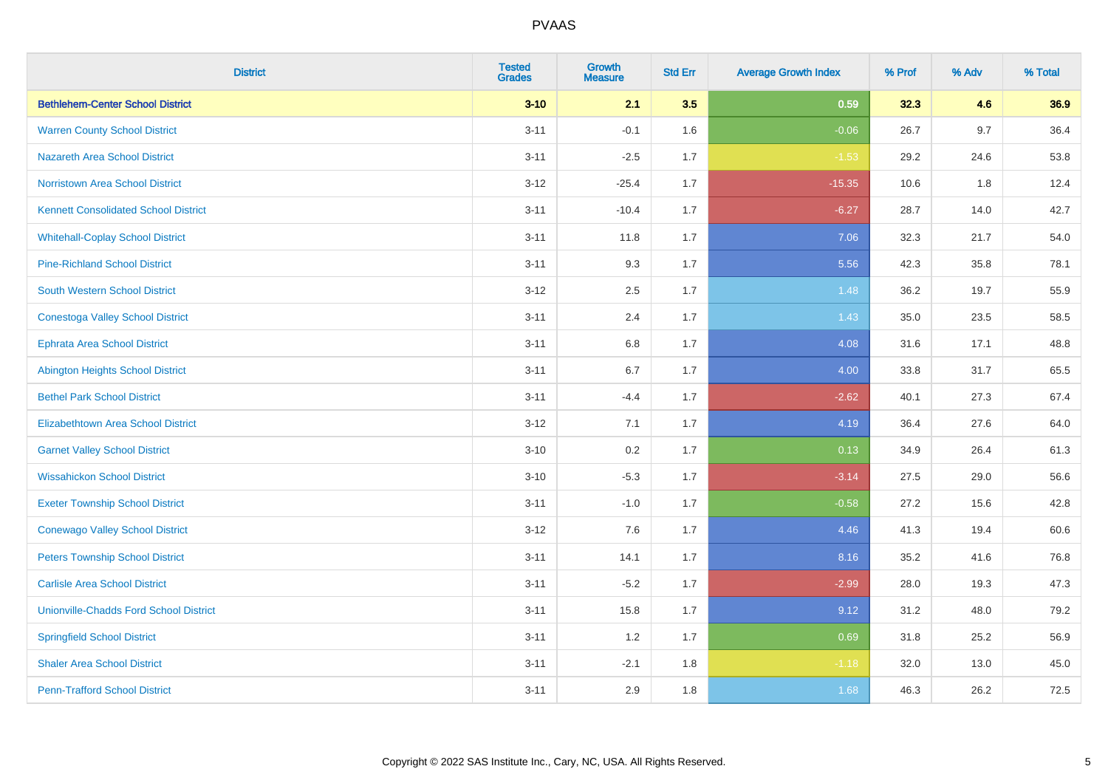| <b>District</b>                               | <b>Tested</b><br><b>Grades</b> | <b>Growth</b><br><b>Measure</b> | <b>Std Err</b> | <b>Average Growth Index</b> | % Prof | % Adv | % Total |
|-----------------------------------------------|--------------------------------|---------------------------------|----------------|-----------------------------|--------|-------|---------|
| <b>Bethlehem-Center School District</b>       | $3 - 10$                       | 2.1                             | 3.5            | 0.59                        | 32.3   | 4.6   | 36.9    |
| <b>Warren County School District</b>          | $3 - 11$                       | $-0.1$                          | 1.6            | $-0.06$                     | 26.7   | 9.7   | 36.4    |
| <b>Nazareth Area School District</b>          | $3 - 11$                       | $-2.5$                          | 1.7            | $-1.53$                     | 29.2   | 24.6  | 53.8    |
| <b>Norristown Area School District</b>        | $3 - 12$                       | $-25.4$                         | 1.7            | $-15.35$                    | 10.6   | 1.8   | 12.4    |
| <b>Kennett Consolidated School District</b>   | $3 - 11$                       | $-10.4$                         | 1.7            | $-6.27$                     | 28.7   | 14.0  | 42.7    |
| <b>Whitehall-Coplay School District</b>       | $3 - 11$                       | 11.8                            | 1.7            | 7.06                        | 32.3   | 21.7  | 54.0    |
| <b>Pine-Richland School District</b>          | $3 - 11$                       | 9.3                             | 1.7            | 5.56                        | 42.3   | 35.8  | 78.1    |
| <b>South Western School District</b>          | $3 - 12$                       | 2.5                             | 1.7            | 1.48                        | 36.2   | 19.7  | 55.9    |
| <b>Conestoga Valley School District</b>       | $3 - 11$                       | 2.4                             | 1.7            | 1.43                        | 35.0   | 23.5  | 58.5    |
| <b>Ephrata Area School District</b>           | $3 - 11$                       | 6.8                             | 1.7            | 4.08                        | 31.6   | 17.1  | 48.8    |
| <b>Abington Heights School District</b>       | $3 - 11$                       | 6.7                             | 1.7            | 4.00                        | 33.8   | 31.7  | 65.5    |
| <b>Bethel Park School District</b>            | $3 - 11$                       | $-4.4$                          | 1.7            | $-2.62$                     | 40.1   | 27.3  | 67.4    |
| <b>Elizabethtown Area School District</b>     | $3 - 12$                       | 7.1                             | 1.7            | 4.19                        | 36.4   | 27.6  | 64.0    |
| <b>Garnet Valley School District</b>          | $3 - 10$                       | 0.2                             | 1.7            | 0.13                        | 34.9   | 26.4  | 61.3    |
| <b>Wissahickon School District</b>            | $3 - 10$                       | $-5.3$                          | 1.7            | $-3.14$                     | 27.5   | 29.0  | 56.6    |
| <b>Exeter Township School District</b>        | $3 - 11$                       | $-1.0$                          | 1.7            | $-0.58$                     | 27.2   | 15.6  | 42.8    |
| <b>Conewago Valley School District</b>        | $3 - 12$                       | 7.6                             | 1.7            | 4.46                        | 41.3   | 19.4  | 60.6    |
| <b>Peters Township School District</b>        | $3 - 11$                       | 14.1                            | 1.7            | 8.16                        | 35.2   | 41.6  | 76.8    |
| <b>Carlisle Area School District</b>          | $3 - 11$                       | $-5.2$                          | 1.7            | $-2.99$                     | 28.0   | 19.3  | 47.3    |
| <b>Unionville-Chadds Ford School District</b> | $3 - 11$                       | 15.8                            | 1.7            | 9.12                        | 31.2   | 48.0  | 79.2    |
| <b>Springfield School District</b>            | $3 - 11$                       | 1.2                             | 1.7            | 0.69                        | 31.8   | 25.2  | 56.9    |
| <b>Shaler Area School District</b>            | $3 - 11$                       | $-2.1$                          | 1.8            | $-1.18$                     | 32.0   | 13.0  | 45.0    |
| <b>Penn-Trafford School District</b>          | $3 - 11$                       | 2.9                             | 1.8            | 1.68                        | 46.3   | 26.2  | 72.5    |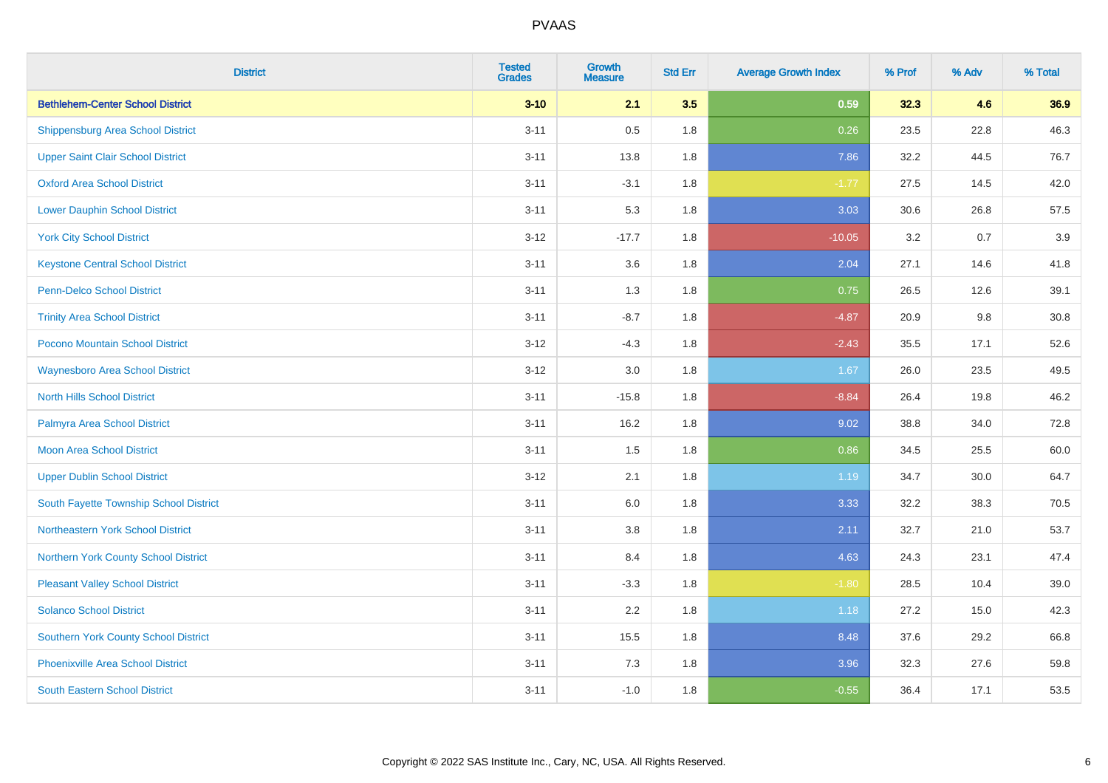| <b>District</b>                             | <b>Tested</b><br><b>Grades</b> | <b>Growth</b><br><b>Measure</b> | <b>Std Err</b> | <b>Average Growth Index</b> | % Prof | % Adv | % Total |
|---------------------------------------------|--------------------------------|---------------------------------|----------------|-----------------------------|--------|-------|---------|
| <b>Bethlehem-Center School District</b>     | $3 - 10$                       | 2.1                             | 3.5            | 0.59                        | 32.3   | 4.6   | 36.9    |
| <b>Shippensburg Area School District</b>    | $3 - 11$                       | 0.5                             | 1.8            | 0.26                        | 23.5   | 22.8  | 46.3    |
| <b>Upper Saint Clair School District</b>    | $3 - 11$                       | 13.8                            | 1.8            | 7.86                        | 32.2   | 44.5  | 76.7    |
| <b>Oxford Area School District</b>          | $3 - 11$                       | $-3.1$                          | 1.8            | $-1.77$                     | 27.5   | 14.5  | 42.0    |
| <b>Lower Dauphin School District</b>        | $3 - 11$                       | 5.3                             | 1.8            | 3.03                        | 30.6   | 26.8  | 57.5    |
| <b>York City School District</b>            | $3 - 12$                       | $-17.7$                         | 1.8            | $-10.05$                    | 3.2    | 0.7   | 3.9     |
| <b>Keystone Central School District</b>     | $3 - 11$                       | 3.6                             | 1.8            | 2.04                        | 27.1   | 14.6  | 41.8    |
| <b>Penn-Delco School District</b>           | $3 - 11$                       | 1.3                             | 1.8            | 0.75                        | 26.5   | 12.6  | 39.1    |
| <b>Trinity Area School District</b>         | $3 - 11$                       | $-8.7$                          | 1.8            | $-4.87$                     | 20.9   | 9.8   | 30.8    |
| <b>Pocono Mountain School District</b>      | $3 - 12$                       | $-4.3$                          | 1.8            | $-2.43$                     | 35.5   | 17.1  | 52.6    |
| <b>Waynesboro Area School District</b>      | $3 - 12$                       | 3.0                             | 1.8            | 1.67                        | 26.0   | 23.5  | 49.5    |
| <b>North Hills School District</b>          | $3 - 11$                       | $-15.8$                         | 1.8            | $-8.84$                     | 26.4   | 19.8  | 46.2    |
| Palmyra Area School District                | $3 - 11$                       | 16.2                            | 1.8            | 9.02                        | 38.8   | 34.0  | 72.8    |
| <b>Moon Area School District</b>            | $3 - 11$                       | 1.5                             | 1.8            | 0.86                        | 34.5   | 25.5  | 60.0    |
| <b>Upper Dublin School District</b>         | $3 - 12$                       | 2.1                             | 1.8            | 1.19                        | 34.7   | 30.0  | 64.7    |
| South Fayette Township School District      | $3 - 11$                       | 6.0                             | 1.8            | 3.33                        | 32.2   | 38.3  | 70.5    |
| Northeastern York School District           | $3 - 11$                       | 3.8                             | 1.8            | 2.11                        | 32.7   | 21.0  | 53.7    |
| Northern York County School District        | $3 - 11$                       | 8.4                             | 1.8            | 4.63                        | 24.3   | 23.1  | 47.4    |
| <b>Pleasant Valley School District</b>      | $3 - 11$                       | $-3.3$                          | 1.8            | $-1.80$                     | 28.5   | 10.4  | 39.0    |
| <b>Solanco School District</b>              | $3 - 11$                       | 2.2                             | 1.8            | 1.18                        | 27.2   | 15.0  | 42.3    |
| <b>Southern York County School District</b> | $3 - 11$                       | 15.5                            | 1.8            | 8.48                        | 37.6   | 29.2  | 66.8    |
| <b>Phoenixville Area School District</b>    | $3 - 11$                       | 7.3                             | 1.8            | 3.96                        | 32.3   | 27.6  | 59.8    |
| <b>South Eastern School District</b>        | $3 - 11$                       | $-1.0$                          | 1.8            | $-0.55$                     | 36.4   | 17.1  | 53.5    |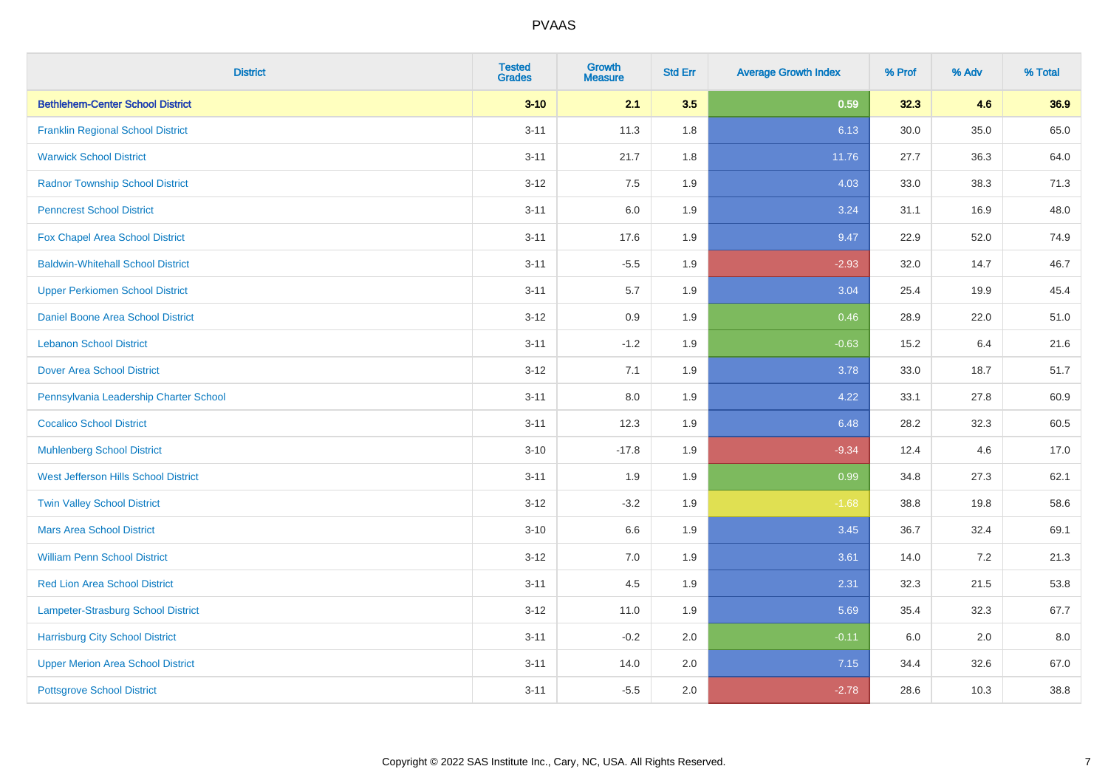| <b>District</b>                          | <b>Tested</b><br><b>Grades</b> | <b>Growth</b><br><b>Measure</b> | <b>Std Err</b> | <b>Average Growth Index</b> | % Prof | % Adv | % Total |
|------------------------------------------|--------------------------------|---------------------------------|----------------|-----------------------------|--------|-------|---------|
| <b>Bethlehem-Center School District</b>  | $3 - 10$                       | 2.1                             | 3.5            | 0.59                        | 32.3   | 4.6   | 36.9    |
| <b>Franklin Regional School District</b> | $3 - 11$                       | 11.3                            | 1.8            | 6.13                        | 30.0   | 35.0  | 65.0    |
| <b>Warwick School District</b>           | $3 - 11$                       | 21.7                            | 1.8            | 11.76                       | 27.7   | 36.3  | 64.0    |
| <b>Radnor Township School District</b>   | $3 - 12$                       | 7.5                             | 1.9            | 4.03                        | 33.0   | 38.3  | 71.3    |
| <b>Penncrest School District</b>         | $3 - 11$                       | 6.0                             | 1.9            | 3.24                        | 31.1   | 16.9  | 48.0    |
| Fox Chapel Area School District          | $3 - 11$                       | 17.6                            | 1.9            | 9.47                        | 22.9   | 52.0  | 74.9    |
| <b>Baldwin-Whitehall School District</b> | $3 - 11$                       | $-5.5$                          | 1.9            | $-2.93$                     | 32.0   | 14.7  | 46.7    |
| <b>Upper Perkiomen School District</b>   | $3 - 11$                       | 5.7                             | 1.9            | 3.04                        | 25.4   | 19.9  | 45.4    |
| <b>Daniel Boone Area School District</b> | $3 - 12$                       | 0.9                             | 1.9            | 0.46                        | 28.9   | 22.0  | 51.0    |
| <b>Lebanon School District</b>           | $3 - 11$                       | $-1.2$                          | 1.9            | $-0.63$                     | 15.2   | 6.4   | 21.6    |
| <b>Dover Area School District</b>        | $3-12$                         | 7.1                             | 1.9            | 3.78                        | 33.0   | 18.7  | 51.7    |
| Pennsylvania Leadership Charter School   | $3 - 11$                       | 8.0                             | 1.9            | 4.22                        | 33.1   | 27.8  | 60.9    |
| <b>Cocalico School District</b>          | $3 - 11$                       | 12.3                            | 1.9            | 6.48                        | 28.2   | 32.3  | 60.5    |
| <b>Muhlenberg School District</b>        | $3 - 10$                       | $-17.8$                         | 1.9            | $-9.34$                     | 12.4   | 4.6   | 17.0    |
| West Jefferson Hills School District     | $3 - 11$                       | 1.9                             | 1.9            | 0.99                        | 34.8   | 27.3  | 62.1    |
| <b>Twin Valley School District</b>       | $3-12$                         | $-3.2$                          | 1.9            | $-1.68$                     | 38.8   | 19.8  | 58.6    |
| <b>Mars Area School District</b>         | $3 - 10$                       | 6.6                             | 1.9            | 3.45                        | 36.7   | 32.4  | 69.1    |
| <b>William Penn School District</b>      | $3-12$                         | 7.0                             | 1.9            | 3.61                        | 14.0   | 7.2   | 21.3    |
| <b>Red Lion Area School District</b>     | $3 - 11$                       | 4.5                             | 1.9            | 2.31                        | 32.3   | 21.5  | 53.8    |
| Lampeter-Strasburg School District       | $3 - 12$                       | 11.0                            | 1.9            | 5.69                        | 35.4   | 32.3  | 67.7    |
| <b>Harrisburg City School District</b>   | $3 - 11$                       | $-0.2$                          | 2.0            | $-0.11$                     | 6.0    | 2.0   | 8.0     |
| <b>Upper Merion Area School District</b> | $3 - 11$                       | 14.0                            | 2.0            | 7.15                        | 34.4   | 32.6  | 67.0    |
| <b>Pottsgrove School District</b>        | $3 - 11$                       | $-5.5$                          | 2.0            | $-2.78$                     | 28.6   | 10.3  | 38.8    |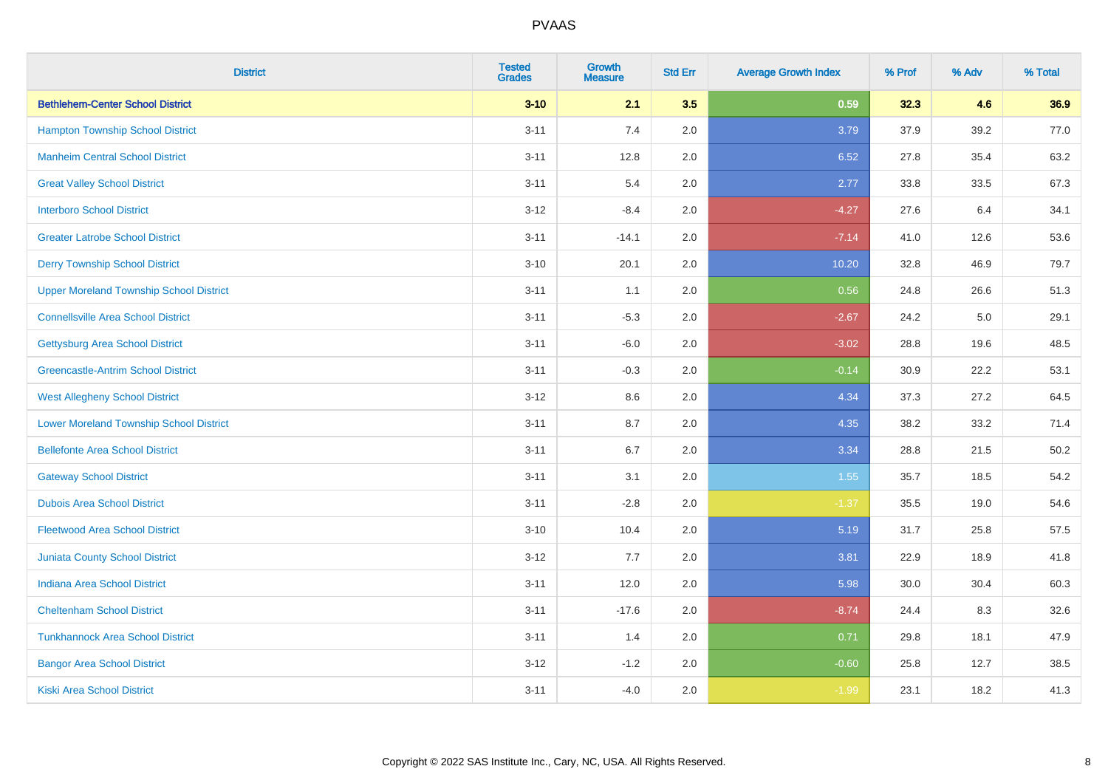| <b>District</b>                                | <b>Tested</b><br><b>Grades</b> | <b>Growth</b><br><b>Measure</b> | <b>Std Err</b> | <b>Average Growth Index</b> | % Prof | % Adv | % Total |
|------------------------------------------------|--------------------------------|---------------------------------|----------------|-----------------------------|--------|-------|---------|
| <b>Bethlehem-Center School District</b>        | $3 - 10$                       | 2.1                             | 3.5            | 0.59                        | 32.3   | 4.6   | 36.9    |
| <b>Hampton Township School District</b>        | $3 - 11$                       | 7.4                             | 2.0            | 3.79                        | 37.9   | 39.2  | 77.0    |
| <b>Manheim Central School District</b>         | $3 - 11$                       | 12.8                            | 2.0            | 6.52                        | 27.8   | 35.4  | 63.2    |
| <b>Great Valley School District</b>            | $3 - 11$                       | 5.4                             | 2.0            | 2.77                        | 33.8   | 33.5  | 67.3    |
| <b>Interboro School District</b>               | $3-12$                         | $-8.4$                          | 2.0            | $-4.27$                     | 27.6   | 6.4   | 34.1    |
| <b>Greater Latrobe School District</b>         | $3 - 11$                       | $-14.1$                         | 2.0            | $-7.14$                     | 41.0   | 12.6  | 53.6    |
| <b>Derry Township School District</b>          | $3 - 10$                       | 20.1                            | 2.0            | 10.20                       | 32.8   | 46.9  | 79.7    |
| <b>Upper Moreland Township School District</b> | $3 - 11$                       | 1.1                             | 2.0            | 0.56                        | 24.8   | 26.6  | 51.3    |
| <b>Connellsville Area School District</b>      | $3 - 11$                       | $-5.3$                          | 2.0            | $-2.67$                     | 24.2   | 5.0   | 29.1    |
| <b>Gettysburg Area School District</b>         | $3 - 11$                       | $-6.0$                          | 2.0            | $-3.02$                     | 28.8   | 19.6  | 48.5    |
| <b>Greencastle-Antrim School District</b>      | $3 - 11$                       | $-0.3$                          | 2.0            | $-0.14$                     | 30.9   | 22.2  | 53.1    |
| <b>West Allegheny School District</b>          | $3 - 12$                       | 8.6                             | 2.0            | 4.34                        | 37.3   | 27.2  | 64.5    |
| <b>Lower Moreland Township School District</b> | $3 - 11$                       | 8.7                             | 2.0            | 4.35                        | 38.2   | 33.2  | 71.4    |
| <b>Bellefonte Area School District</b>         | $3 - 11$                       | 6.7                             | 2.0            | 3.34                        | 28.8   | 21.5  | 50.2    |
| <b>Gateway School District</b>                 | $3 - 11$                       | 3.1                             | 2.0            | 1.55                        | 35.7   | 18.5  | 54.2    |
| <b>Dubois Area School District</b>             | $3 - 11$                       | $-2.8$                          | 2.0            | $-1.37$                     | 35.5   | 19.0  | 54.6    |
| <b>Fleetwood Area School District</b>          | $3 - 10$                       | 10.4                            | 2.0            | 5.19                        | 31.7   | 25.8  | 57.5    |
| <b>Juniata County School District</b>          | $3 - 12$                       | 7.7                             | 2.0            | 3.81                        | 22.9   | 18.9  | 41.8    |
| <b>Indiana Area School District</b>            | $3 - 11$                       | 12.0                            | 2.0            | 5.98                        | 30.0   | 30.4  | 60.3    |
| <b>Cheltenham School District</b>              | $3 - 11$                       | $-17.6$                         | 2.0            | $-8.74$                     | 24.4   | 8.3   | 32.6    |
| <b>Tunkhannock Area School District</b>        | $3 - 11$                       | 1.4                             | 2.0            | 0.71                        | 29.8   | 18.1  | 47.9    |
| <b>Bangor Area School District</b>             | $3 - 12$                       | $-1.2$                          | 2.0            | $-0.60$                     | 25.8   | 12.7  | 38.5    |
| <b>Kiski Area School District</b>              | $3 - 11$                       | $-4.0$                          | 2.0            | $-1.99$                     | 23.1   | 18.2  | 41.3    |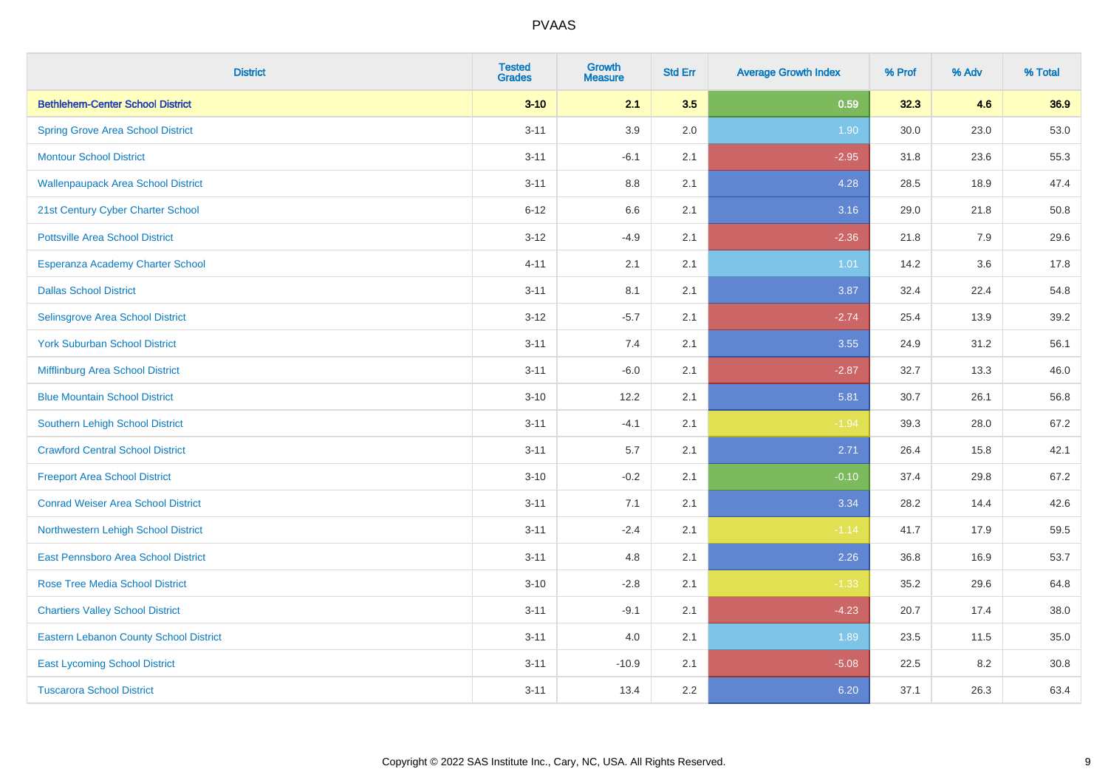| <b>District</b>                               | <b>Tested</b><br><b>Grades</b> | <b>Growth</b><br><b>Measure</b> | <b>Std Err</b> | <b>Average Growth Index</b> | % Prof | % Adv | % Total |
|-----------------------------------------------|--------------------------------|---------------------------------|----------------|-----------------------------|--------|-------|---------|
| <b>Bethlehem-Center School District</b>       | $3 - 10$                       | 2.1                             | 3.5            | 0.59                        | 32.3   | 4.6   | 36.9    |
| <b>Spring Grove Area School District</b>      | $3 - 11$                       | 3.9                             | 2.0            | 1.90                        | 30.0   | 23.0  | 53.0    |
| <b>Montour School District</b>                | $3 - 11$                       | $-6.1$                          | 2.1            | $-2.95$                     | 31.8   | 23.6  | 55.3    |
| <b>Wallenpaupack Area School District</b>     | $3 - 11$                       | $8.8\,$                         | 2.1            | 4.28                        | 28.5   | 18.9  | 47.4    |
| 21st Century Cyber Charter School             | $6 - 12$                       | 6.6                             | 2.1            | 3.16                        | 29.0   | 21.8  | 50.8    |
| <b>Pottsville Area School District</b>        | $3 - 12$                       | $-4.9$                          | 2.1            | $-2.36$                     | 21.8   | 7.9   | 29.6    |
| Esperanza Academy Charter School              | $4 - 11$                       | 2.1                             | 2.1            | 1.01                        | 14.2   | 3.6   | 17.8    |
| <b>Dallas School District</b>                 | $3 - 11$                       | 8.1                             | 2.1            | 3.87                        | 32.4   | 22.4  | 54.8    |
| Selinsgrove Area School District              | $3 - 12$                       | $-5.7$                          | 2.1            | $-2.74$                     | 25.4   | 13.9  | 39.2    |
| <b>York Suburban School District</b>          | $3 - 11$                       | 7.4                             | 2.1            | 3.55                        | 24.9   | 31.2  | 56.1    |
| Mifflinburg Area School District              | $3 - 11$                       | $-6.0$                          | 2.1            | $-2.87$                     | 32.7   | 13.3  | 46.0    |
| <b>Blue Mountain School District</b>          | $3 - 10$                       | 12.2                            | 2.1            | 5.81                        | 30.7   | 26.1  | 56.8    |
| <b>Southern Lehigh School District</b>        | $3 - 11$                       | $-4.1$                          | 2.1            | $-1.94$                     | 39.3   | 28.0  | 67.2    |
| <b>Crawford Central School District</b>       | $3 - 11$                       | 5.7                             | 2.1            | 2.71                        | 26.4   | 15.8  | 42.1    |
| <b>Freeport Area School District</b>          | $3 - 10$                       | $-0.2$                          | 2.1            | $-0.10$                     | 37.4   | 29.8  | 67.2    |
| <b>Conrad Weiser Area School District</b>     | $3 - 11$                       | 7.1                             | 2.1            | 3.34                        | 28.2   | 14.4  | 42.6    |
| Northwestern Lehigh School District           | $3 - 11$                       | $-2.4$                          | 2.1            | $-1.14$                     | 41.7   | 17.9  | 59.5    |
| East Pennsboro Area School District           | $3 - 11$                       | 4.8                             | 2.1            | 2.26                        | 36.8   | 16.9  | 53.7    |
| Rose Tree Media School District               | $3 - 10$                       | $-2.8$                          | 2.1            | $-1.33$                     | 35.2   | 29.6  | 64.8    |
| <b>Chartiers Valley School District</b>       | $3 - 11$                       | $-9.1$                          | 2.1            | $-4.23$                     | 20.7   | 17.4  | 38.0    |
| <b>Eastern Lebanon County School District</b> | $3 - 11$                       | 4.0                             | 2.1            | 1.89                        | 23.5   | 11.5  | 35.0    |
| <b>East Lycoming School District</b>          | $3 - 11$                       | $-10.9$                         | 2.1            | $-5.08$                     | 22.5   | 8.2   | 30.8    |
| <b>Tuscarora School District</b>              | $3 - 11$                       | 13.4                            | 2.2            | 6.20                        | 37.1   | 26.3  | 63.4    |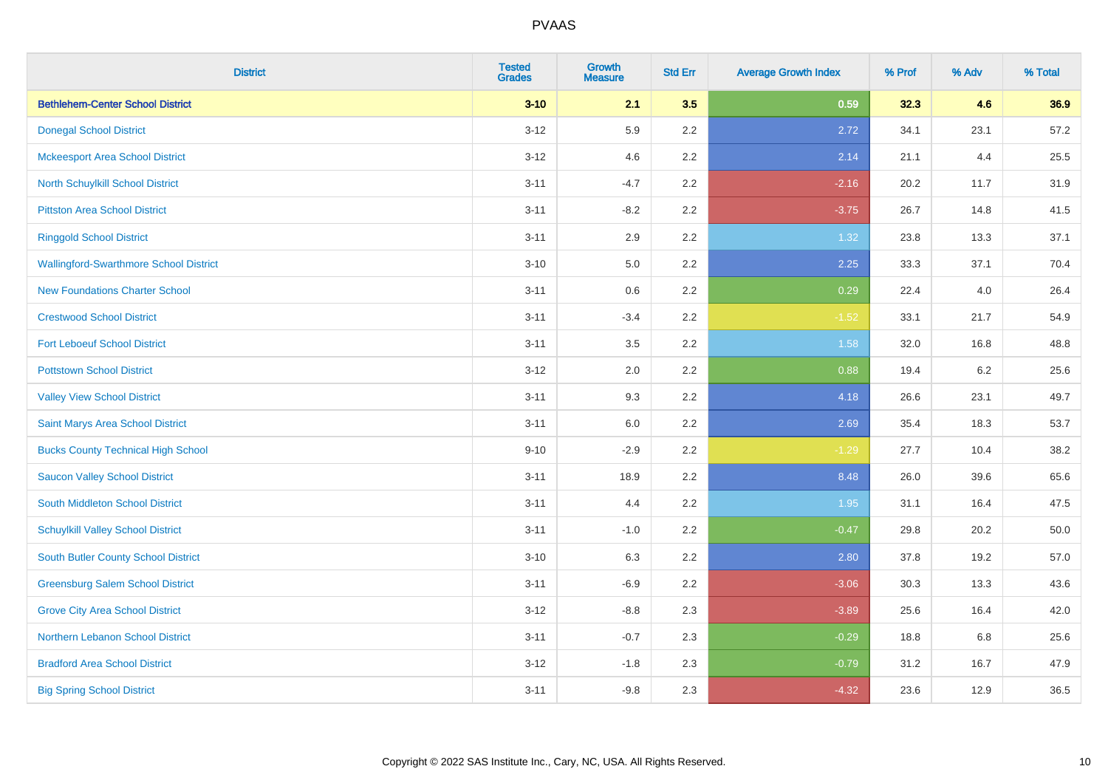| <b>District</b>                               | <b>Tested</b><br><b>Grades</b> | <b>Growth</b><br><b>Measure</b> | <b>Std Err</b> | <b>Average Growth Index</b> | % Prof | % Adv | % Total |
|-----------------------------------------------|--------------------------------|---------------------------------|----------------|-----------------------------|--------|-------|---------|
| <b>Bethlehem-Center School District</b>       | $3 - 10$                       | 2.1                             | 3.5            | 0.59                        | 32.3   | 4.6   | 36.9    |
| <b>Donegal School District</b>                | $3 - 12$                       | 5.9                             | 2.2            | 2.72                        | 34.1   | 23.1  | 57.2    |
| <b>Mckeesport Area School District</b>        | $3 - 12$                       | 4.6                             | 2.2            | 2.14                        | 21.1   | 4.4   | 25.5    |
| North Schuylkill School District              | $3 - 11$                       | $-4.7$                          | 2.2            | $-2.16$                     | 20.2   | 11.7  | 31.9    |
| <b>Pittston Area School District</b>          | $3 - 11$                       | $-8.2$                          | 2.2            | $-3.75$                     | 26.7   | 14.8  | 41.5    |
| <b>Ringgold School District</b>               | $3 - 11$                       | 2.9                             | 2.2            | 1.32                        | 23.8   | 13.3  | 37.1    |
| <b>Wallingford-Swarthmore School District</b> | $3 - 10$                       | 5.0                             | 2.2            | 2.25                        | 33.3   | 37.1  | 70.4    |
| <b>New Foundations Charter School</b>         | $3 - 11$                       | 0.6                             | 2.2            | 0.29                        | 22.4   | 4.0   | 26.4    |
| <b>Crestwood School District</b>              | $3 - 11$                       | $-3.4$                          | 2.2            | $-1.52$                     | 33.1   | 21.7  | 54.9    |
| <b>Fort Leboeuf School District</b>           | $3 - 11$                       | 3.5                             | $2.2\,$        | 1.58                        | 32.0   | 16.8  | 48.8    |
| <b>Pottstown School District</b>              | $3 - 12$                       | 2.0                             | 2.2            | 0.88                        | 19.4   | 6.2   | 25.6    |
| <b>Valley View School District</b>            | $3 - 11$                       | 9.3                             | 2.2            | 4.18                        | 26.6   | 23.1  | 49.7    |
| Saint Marys Area School District              | $3 - 11$                       | $6.0\,$                         | 2.2            | 2.69                        | 35.4   | 18.3  | 53.7    |
| <b>Bucks County Technical High School</b>     | $9 - 10$                       | $-2.9$                          | 2.2            | $-1.29$                     | 27.7   | 10.4  | 38.2    |
| <b>Saucon Valley School District</b>          | $3 - 11$                       | 18.9                            | 2.2            | 8.48                        | 26.0   | 39.6  | 65.6    |
| South Middleton School District               | $3 - 11$                       | 4.4                             | 2.2            | 1.95                        | 31.1   | 16.4  | 47.5    |
| <b>Schuylkill Valley School District</b>      | $3 - 11$                       | $-1.0$                          | 2.2            | $-0.47$                     | 29.8   | 20.2  | 50.0    |
| <b>South Butler County School District</b>    | $3 - 10$                       | 6.3                             | 2.2            | 2.80                        | 37.8   | 19.2  | 57.0    |
| <b>Greensburg Salem School District</b>       | $3 - 11$                       | $-6.9$                          | 2.2            | $-3.06$                     | 30.3   | 13.3  | 43.6    |
| <b>Grove City Area School District</b>        | $3 - 12$                       | $-8.8$                          | 2.3            | $-3.89$                     | 25.6   | 16.4  | 42.0    |
| Northern Lebanon School District              | $3 - 11$                       | $-0.7$                          | 2.3            | $-0.29$                     | 18.8   | 6.8   | 25.6    |
| <b>Bradford Area School District</b>          | $3-12$                         | $-1.8$                          | 2.3            | $-0.79$                     | 31.2   | 16.7  | 47.9    |
| <b>Big Spring School District</b>             | $3 - 11$                       | $-9.8$                          | 2.3            | $-4.32$                     | 23.6   | 12.9  | 36.5    |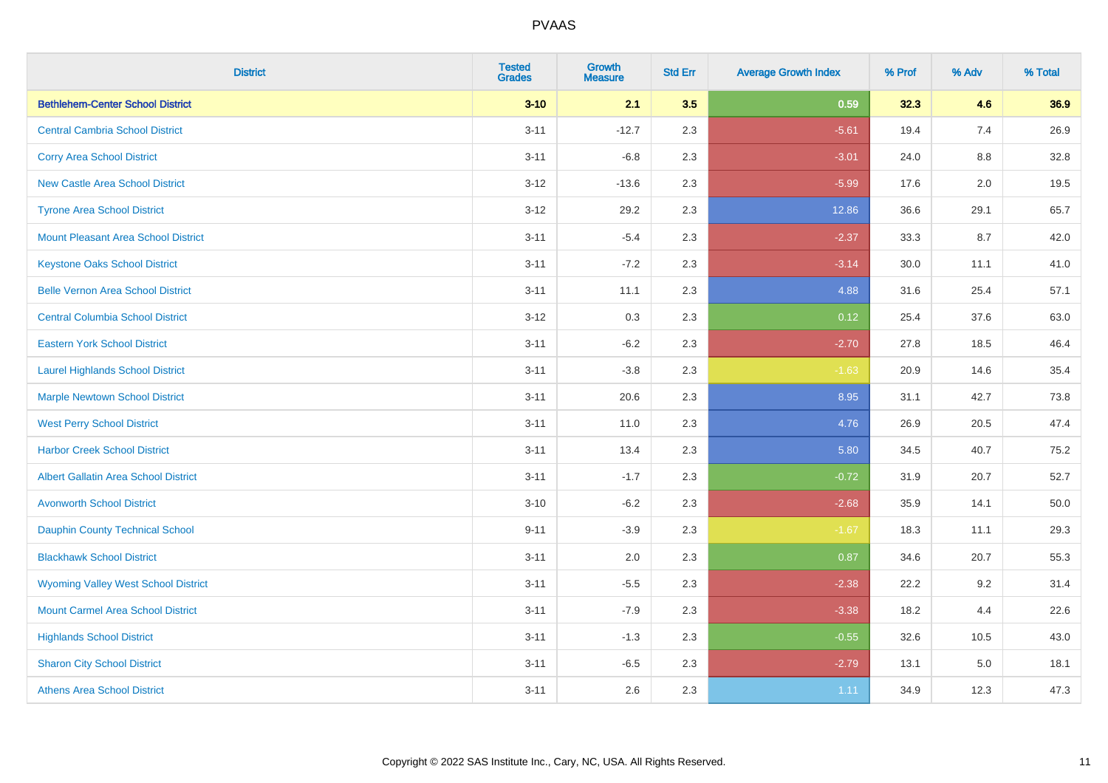| <b>District</b>                             | <b>Tested</b><br><b>Grades</b> | <b>Growth</b><br><b>Measure</b> | <b>Std Err</b> | <b>Average Growth Index</b> | % Prof | % Adv   | % Total |
|---------------------------------------------|--------------------------------|---------------------------------|----------------|-----------------------------|--------|---------|---------|
| <b>Bethlehem-Center School District</b>     | $3 - 10$                       | 2.1                             | 3.5            | 0.59                        | 32.3   | 4.6     | 36.9    |
| <b>Central Cambria School District</b>      | $3 - 11$                       | $-12.7$                         | 2.3            | $-5.61$                     | 19.4   | 7.4     | 26.9    |
| <b>Corry Area School District</b>           | $3 - 11$                       | $-6.8$                          | 2.3            | $-3.01$                     | 24.0   | $8.8\,$ | 32.8    |
| <b>New Castle Area School District</b>      | $3 - 12$                       | $-13.6$                         | 2.3            | $-5.99$                     | 17.6   | 2.0     | 19.5    |
| <b>Tyrone Area School District</b>          | $3 - 12$                       | 29.2                            | 2.3            | 12.86                       | 36.6   | 29.1    | 65.7    |
| <b>Mount Pleasant Area School District</b>  | $3 - 11$                       | $-5.4$                          | 2.3            | $-2.37$                     | 33.3   | 8.7     | 42.0    |
| <b>Keystone Oaks School District</b>        | $3 - 11$                       | $-7.2$                          | 2.3            | $-3.14$                     | 30.0   | 11.1    | 41.0    |
| <b>Belle Vernon Area School District</b>    | $3 - 11$                       | 11.1                            | 2.3            | 4.88                        | 31.6   | 25.4    | 57.1    |
| <b>Central Columbia School District</b>     | $3 - 12$                       | 0.3                             | 2.3            | 0.12                        | 25.4   | 37.6    | 63.0    |
| <b>Eastern York School District</b>         | $3 - 11$                       | $-6.2$                          | 2.3            | $-2.70$                     | 27.8   | 18.5    | 46.4    |
| <b>Laurel Highlands School District</b>     | $3 - 11$                       | $-3.8$                          | 2.3            | $-1.63$                     | 20.9   | 14.6    | 35.4    |
| <b>Marple Newtown School District</b>       | $3 - 11$                       | 20.6                            | 2.3            | 8.95                        | 31.1   | 42.7    | 73.8    |
| <b>West Perry School District</b>           | $3 - 11$                       | 11.0                            | 2.3            | 4.76                        | 26.9   | 20.5    | 47.4    |
| <b>Harbor Creek School District</b>         | $3 - 11$                       | 13.4                            | 2.3            | 5.80                        | 34.5   | 40.7    | 75.2    |
| <b>Albert Gallatin Area School District</b> | $3 - 11$                       | $-1.7$                          | 2.3            | $-0.72$                     | 31.9   | 20.7    | 52.7    |
| <b>Avonworth School District</b>            | $3 - 10$                       | $-6.2$                          | 2.3            | $-2.68$                     | 35.9   | 14.1    | 50.0    |
| <b>Dauphin County Technical School</b>      | $9 - 11$                       | $-3.9$                          | 2.3            | $-1.67$                     | 18.3   | 11.1    | 29.3    |
| <b>Blackhawk School District</b>            | $3 - 11$                       | 2.0                             | 2.3            | 0.87                        | 34.6   | 20.7    | 55.3    |
| <b>Wyoming Valley West School District</b>  | $3 - 11$                       | $-5.5$                          | 2.3            | $-2.38$                     | 22.2   | 9.2     | 31.4    |
| <b>Mount Carmel Area School District</b>    | $3 - 11$                       | $-7.9$                          | 2.3            | $-3.38$                     | 18.2   | 4.4     | 22.6    |
| <b>Highlands School District</b>            | $3 - 11$                       | $-1.3$                          | 2.3            | $-0.55$                     | 32.6   | 10.5    | 43.0    |
| <b>Sharon City School District</b>          | $3 - 11$                       | $-6.5$                          | 2.3            | $-2.79$                     | 13.1   | 5.0     | 18.1    |
| <b>Athens Area School District</b>          | $3 - 11$                       | 2.6                             | 2.3            | 1.11                        | 34.9   | 12.3    | 47.3    |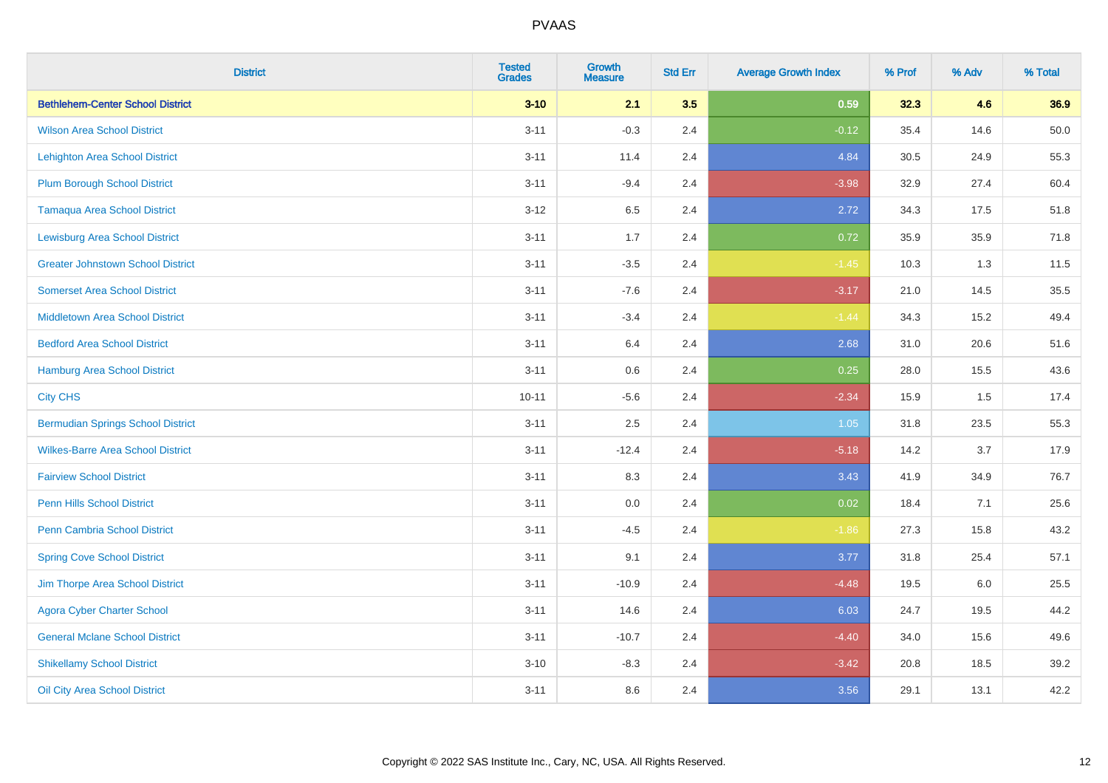| <b>District</b>                          | <b>Tested</b><br><b>Grades</b> | <b>Growth</b><br><b>Measure</b> | <b>Std Err</b> | <b>Average Growth Index</b> | % Prof | % Adv | % Total |
|------------------------------------------|--------------------------------|---------------------------------|----------------|-----------------------------|--------|-------|---------|
| <b>Bethlehem-Center School District</b>  | $3 - 10$                       | 2.1                             | 3.5            | 0.59                        | 32.3   | 4.6   | 36.9    |
| <b>Wilson Area School District</b>       | $3 - 11$                       | $-0.3$                          | 2.4            | $-0.12$                     | 35.4   | 14.6  | 50.0    |
| <b>Lehighton Area School District</b>    | $3 - 11$                       | 11.4                            | 2.4            | 4.84                        | 30.5   | 24.9  | 55.3    |
| <b>Plum Borough School District</b>      | $3 - 11$                       | $-9.4$                          | 2.4            | $-3.98$                     | 32.9   | 27.4  | 60.4    |
| <b>Tamaqua Area School District</b>      | $3-12$                         | 6.5                             | 2.4            | 2.72                        | 34.3   | 17.5  | 51.8    |
| <b>Lewisburg Area School District</b>    | $3 - 11$                       | 1.7                             | 2.4            | 0.72                        | 35.9   | 35.9  | 71.8    |
| <b>Greater Johnstown School District</b> | $3 - 11$                       | $-3.5$                          | 2.4            | $-1.45$                     | 10.3   | 1.3   | 11.5    |
| <b>Somerset Area School District</b>     | $3 - 11$                       | $-7.6$                          | 2.4            | $-3.17$                     | 21.0   | 14.5  | 35.5    |
| <b>Middletown Area School District</b>   | $3 - 11$                       | $-3.4$                          | 2.4            | $-1.44$                     | 34.3   | 15.2  | 49.4    |
| <b>Bedford Area School District</b>      | $3 - 11$                       | 6.4                             | 2.4            | 2.68                        | 31.0   | 20.6  | 51.6    |
| Hamburg Area School District             | $3 - 11$                       | 0.6                             | 2.4            | 0.25                        | 28.0   | 15.5  | 43.6    |
| <b>City CHS</b>                          | $10 - 11$                      | $-5.6$                          | 2.4            | $-2.34$                     | 15.9   | 1.5   | 17.4    |
| <b>Bermudian Springs School District</b> | $3 - 11$                       | 2.5                             | 2.4            | 1.05                        | 31.8   | 23.5  | 55.3    |
| <b>Wilkes-Barre Area School District</b> | $3 - 11$                       | $-12.4$                         | 2.4            | $-5.18$                     | 14.2   | 3.7   | 17.9    |
| <b>Fairview School District</b>          | $3 - 11$                       | 8.3                             | 2.4            | 3.43                        | 41.9   | 34.9  | 76.7    |
| Penn Hills School District               | $3 - 11$                       | 0.0                             | 2.4            | 0.02                        | 18.4   | 7.1   | 25.6    |
| <b>Penn Cambria School District</b>      | $3 - 11$                       | $-4.5$                          | 2.4            | $-1.86$                     | 27.3   | 15.8  | 43.2    |
| <b>Spring Cove School District</b>       | $3 - 11$                       | 9.1                             | 2.4            | 3.77                        | 31.8   | 25.4  | 57.1    |
| Jim Thorpe Area School District          | $3 - 11$                       | $-10.9$                         | 2.4            | $-4.48$                     | 19.5   | 6.0   | 25.5    |
| <b>Agora Cyber Charter School</b>        | $3 - 11$                       | 14.6                            | 2.4            | 6.03                        | 24.7   | 19.5  | 44.2    |
| <b>General Mclane School District</b>    | $3 - 11$                       | $-10.7$                         | 2.4            | $-4.40$                     | 34.0   | 15.6  | 49.6    |
| <b>Shikellamy School District</b>        | $3 - 10$                       | $-8.3$                          | 2.4            | $-3.42$                     | 20.8   | 18.5  | 39.2    |
| Oil City Area School District            | $3 - 11$                       | 8.6                             | 2.4            | 3.56                        | 29.1   | 13.1  | 42.2    |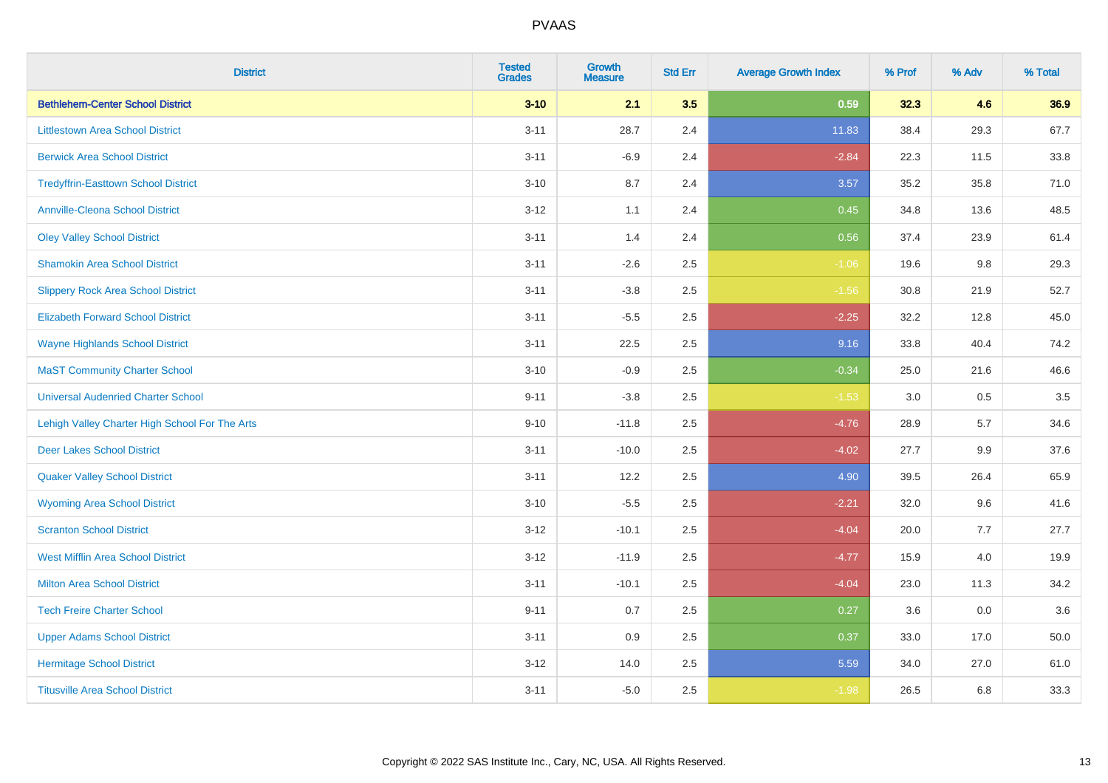| <b>District</b>                                | <b>Tested</b><br><b>Grades</b> | <b>Growth</b><br><b>Measure</b> | <b>Std Err</b> | <b>Average Growth Index</b> | % Prof | % Adv | % Total |
|------------------------------------------------|--------------------------------|---------------------------------|----------------|-----------------------------|--------|-------|---------|
| <b>Bethlehem-Center School District</b>        | $3 - 10$                       | 2.1                             | 3.5            | 0.59                        | 32.3   | 4.6   | 36.9    |
| <b>Littlestown Area School District</b>        | $3 - 11$                       | 28.7                            | 2.4            | 11.83                       | 38.4   | 29.3  | 67.7    |
| <b>Berwick Area School District</b>            | $3 - 11$                       | $-6.9$                          | 2.4            | $-2.84$                     | 22.3   | 11.5  | 33.8    |
| <b>Tredyffrin-Easttown School District</b>     | $3 - 10$                       | 8.7                             | 2.4            | 3.57                        | 35.2   | 35.8  | 71.0    |
| <b>Annville-Cleona School District</b>         | $3 - 12$                       | 1.1                             | 2.4            | 0.45                        | 34.8   | 13.6  | 48.5    |
| <b>Oley Valley School District</b>             | $3 - 11$                       | 1.4                             | 2.4            | 0.56                        | 37.4   | 23.9  | 61.4    |
| <b>Shamokin Area School District</b>           | $3 - 11$                       | $-2.6$                          | 2.5            | $-1.06$                     | 19.6   | 9.8   | 29.3    |
| <b>Slippery Rock Area School District</b>      | $3 - 11$                       | $-3.8$                          | 2.5            | $-1.56$                     | 30.8   | 21.9  | 52.7    |
| <b>Elizabeth Forward School District</b>       | $3 - 11$                       | $-5.5$                          | 2.5            | $-2.25$                     | 32.2   | 12.8  | 45.0    |
| <b>Wayne Highlands School District</b>         | $3 - 11$                       | 22.5                            | 2.5            | 9.16                        | 33.8   | 40.4  | 74.2    |
| <b>MaST Community Charter School</b>           | $3 - 10$                       | $-0.9$                          | 2.5            | $-0.34$                     | 25.0   | 21.6  | 46.6    |
| <b>Universal Audenried Charter School</b>      | $9 - 11$                       | $-3.8$                          | 2.5            | $-1.53$                     | 3.0    | 0.5   | 3.5     |
| Lehigh Valley Charter High School For The Arts | $9 - 10$                       | $-11.8$                         | 2.5            | $-4.76$                     | 28.9   | 5.7   | 34.6    |
| <b>Deer Lakes School District</b>              | $3 - 11$                       | $-10.0$                         | 2.5            | $-4.02$                     | 27.7   | 9.9   | 37.6    |
| <b>Quaker Valley School District</b>           | $3 - 11$                       | 12.2                            | 2.5            | 4.90                        | 39.5   | 26.4  | 65.9    |
| <b>Wyoming Area School District</b>            | $3 - 10$                       | $-5.5$                          | 2.5            | $-2.21$                     | 32.0   | 9.6   | 41.6    |
| <b>Scranton School District</b>                | $3 - 12$                       | $-10.1$                         | 2.5            | $-4.04$                     | 20.0   | 7.7   | 27.7    |
| <b>West Mifflin Area School District</b>       | $3 - 12$                       | $-11.9$                         | 2.5            | $-4.77$                     | 15.9   | 4.0   | 19.9    |
| <b>Milton Area School District</b>             | $3 - 11$                       | $-10.1$                         | 2.5            | $-4.04$                     | 23.0   | 11.3  | 34.2    |
| <b>Tech Freire Charter School</b>              | $9 - 11$                       | 0.7                             | 2.5            | 0.27                        | 3.6    | 0.0   | 3.6     |
| <b>Upper Adams School District</b>             | $3 - 11$                       | 0.9                             | 2.5            | 0.37                        | 33.0   | 17.0  | 50.0    |
| <b>Hermitage School District</b>               | $3 - 12$                       | 14.0                            | 2.5            | 5.59                        | 34.0   | 27.0  | 61.0    |
| <b>Titusville Area School District</b>         | $3 - 11$                       | $-5.0$                          | 2.5            | $-1.98$                     | 26.5   | 6.8   | 33.3    |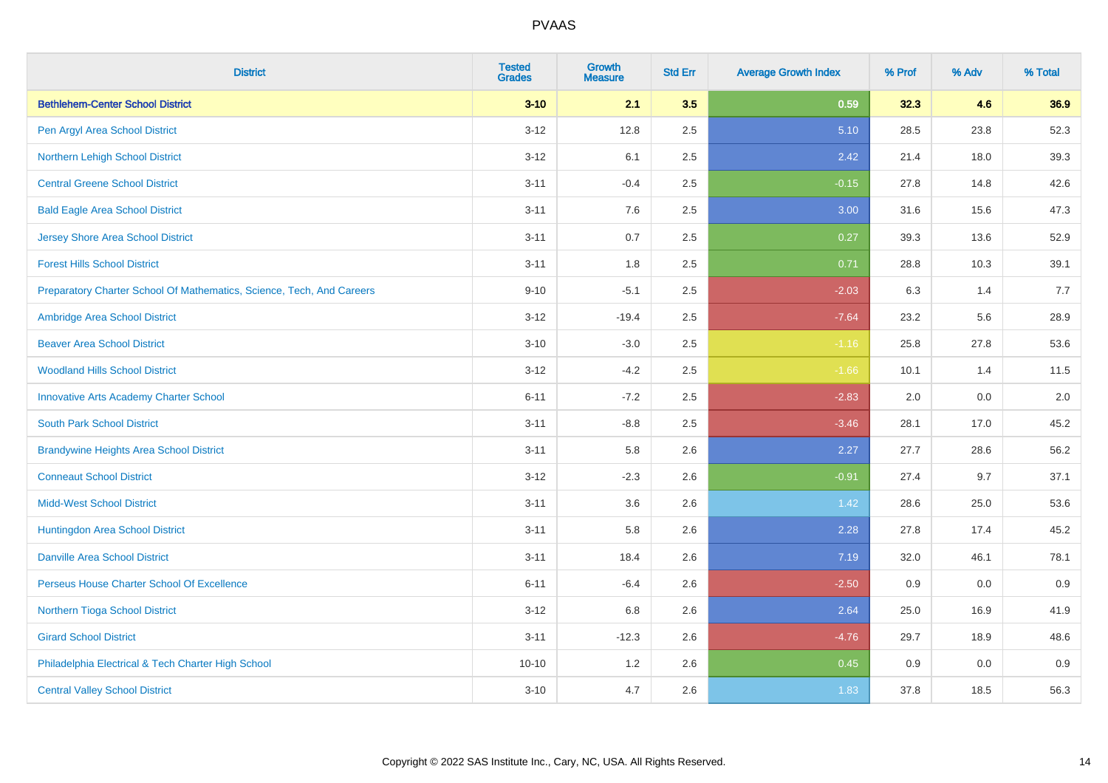| <b>District</b>                                                       | <b>Tested</b><br><b>Grades</b> | <b>Growth</b><br><b>Measure</b> | <b>Std Err</b> | <b>Average Growth Index</b> | % Prof | % Adv | % Total |
|-----------------------------------------------------------------------|--------------------------------|---------------------------------|----------------|-----------------------------|--------|-------|---------|
| <b>Bethlehem-Center School District</b>                               | $3 - 10$                       | 2.1                             | 3.5            | 0.59                        | 32.3   | 4.6   | 36.9    |
| Pen Argyl Area School District                                        | $3 - 12$                       | 12.8                            | 2.5            | 5.10                        | 28.5   | 23.8  | 52.3    |
| Northern Lehigh School District                                       | $3 - 12$                       | 6.1                             | 2.5            | 2.42                        | 21.4   | 18.0  | 39.3    |
| <b>Central Greene School District</b>                                 | $3 - 11$                       | $-0.4$                          | 2.5            | $-0.15$                     | 27.8   | 14.8  | 42.6    |
| <b>Bald Eagle Area School District</b>                                | $3 - 11$                       | 7.6                             | 2.5            | 3.00                        | 31.6   | 15.6  | 47.3    |
| <b>Jersey Shore Area School District</b>                              | $3 - 11$                       | 0.7                             | 2.5            | 0.27                        | 39.3   | 13.6  | 52.9    |
| <b>Forest Hills School District</b>                                   | $3 - 11$                       | 1.8                             | 2.5            | 0.71                        | 28.8   | 10.3  | 39.1    |
| Preparatory Charter School Of Mathematics, Science, Tech, And Careers | $9 - 10$                       | $-5.1$                          | 2.5            | $-2.03$                     | 6.3    | 1.4   | 7.7     |
| Ambridge Area School District                                         | $3 - 12$                       | $-19.4$                         | 2.5            | $-7.64$                     | 23.2   | 5.6   | 28.9    |
| <b>Beaver Area School District</b>                                    | $3 - 10$                       | $-3.0$                          | 2.5            | $-1.16$                     | 25.8   | 27.8  | 53.6    |
| <b>Woodland Hills School District</b>                                 | $3 - 12$                       | $-4.2$                          | 2.5            | $-1.66$                     | 10.1   | 1.4   | 11.5    |
| <b>Innovative Arts Academy Charter School</b>                         | $6 - 11$                       | $-7.2$                          | 2.5            | $-2.83$                     | 2.0    | 0.0   | 2.0     |
| <b>South Park School District</b>                                     | $3 - 11$                       | $-8.8$                          | 2.5            | $-3.46$                     | 28.1   | 17.0  | 45.2    |
| <b>Brandywine Heights Area School District</b>                        | $3 - 11$                       | 5.8                             | 2.6            | 2.27                        | 27.7   | 28.6  | 56.2    |
| <b>Conneaut School District</b>                                       | $3 - 12$                       | $-2.3$                          | 2.6            | $-0.91$                     | 27.4   | 9.7   | 37.1    |
| <b>Midd-West School District</b>                                      | $3 - 11$                       | 3.6                             | 2.6            | 1.42                        | 28.6   | 25.0  | 53.6    |
| Huntingdon Area School District                                       | $3 - 11$                       | 5.8                             | 2.6            | 2.28                        | 27.8   | 17.4  | 45.2    |
| <b>Danville Area School District</b>                                  | $3 - 11$                       | 18.4                            | 2.6            | 7.19                        | 32.0   | 46.1  | 78.1    |
| Perseus House Charter School Of Excellence                            | $6 - 11$                       | $-6.4$                          | 2.6            | $-2.50$                     | 0.9    | 0.0   | 0.9     |
| Northern Tioga School District                                        | $3 - 12$                       | 6.8                             | 2.6            | 2.64                        | 25.0   | 16.9  | 41.9    |
| <b>Girard School District</b>                                         | $3 - 11$                       | $-12.3$                         | 2.6            | $-4.76$                     | 29.7   | 18.9  | 48.6    |
| Philadelphia Electrical & Tech Charter High School                    | $10 - 10$                      | 1.2                             | 2.6            | 0.45                        | 0.9    | 0.0   | 0.9     |
| <b>Central Valley School District</b>                                 | $3 - 10$                       | 4.7                             | 2.6            | 1.83                        | 37.8   | 18.5  | 56.3    |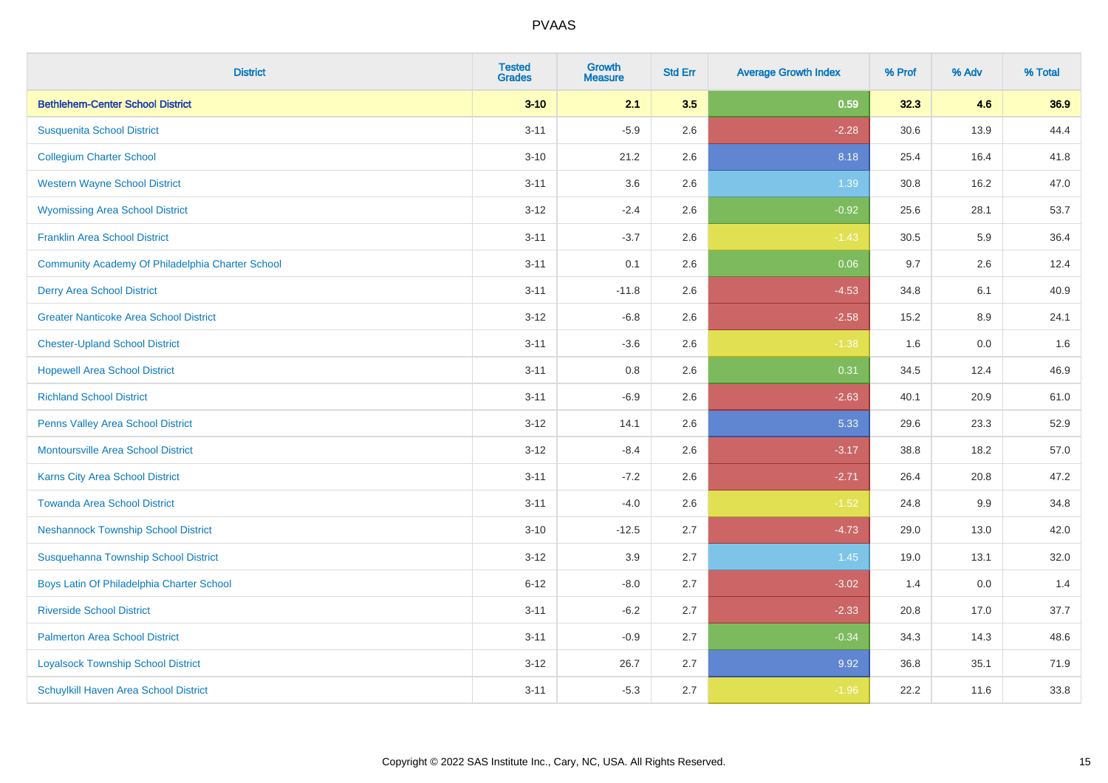| <b>District</b>                                  | <b>Tested</b><br><b>Grades</b> | <b>Growth</b><br><b>Measure</b> | <b>Std Err</b> | <b>Average Growth Index</b> | % Prof | % Adv | % Total |
|--------------------------------------------------|--------------------------------|---------------------------------|----------------|-----------------------------|--------|-------|---------|
| <b>Bethlehem-Center School District</b>          | $3 - 10$                       | 2.1                             | 3.5            | 0.59                        | 32.3   | 4.6   | 36.9    |
| <b>Susquenita School District</b>                | $3 - 11$                       | $-5.9$                          | 2.6            | $-2.28$                     | 30.6   | 13.9  | 44.4    |
| <b>Collegium Charter School</b>                  | $3 - 10$                       | 21.2                            | 2.6            | 8.18                        | 25.4   | 16.4  | 41.8    |
| <b>Western Wayne School District</b>             | $3 - 11$                       | 3.6                             | 2.6            | 1.39                        | 30.8   | 16.2  | 47.0    |
| <b>Wyomissing Area School District</b>           | $3-12$                         | $-2.4$                          | 2.6            | $-0.92$                     | 25.6   | 28.1  | 53.7    |
| <b>Franklin Area School District</b>             | $3 - 11$                       | $-3.7$                          | 2.6            | $-1.43$                     | 30.5   | 5.9   | 36.4    |
| Community Academy Of Philadelphia Charter School | $3 - 11$                       | 0.1                             | 2.6            | 0.06                        | 9.7    | 2.6   | 12.4    |
| <b>Derry Area School District</b>                | $3 - 11$                       | $-11.8$                         | 2.6            | $-4.53$                     | 34.8   | 6.1   | 40.9    |
| <b>Greater Nanticoke Area School District</b>    | $3-12$                         | $-6.8$                          | 2.6            | $-2.58$                     | 15.2   | 8.9   | 24.1    |
| <b>Chester-Upland School District</b>            | $3 - 11$                       | $-3.6$                          | 2.6            | $-1.38$                     | 1.6    | 0.0   | 1.6     |
| <b>Hopewell Area School District</b>             | $3 - 11$                       | 0.8                             | 2.6            | 0.31                        | 34.5   | 12.4  | 46.9    |
| <b>Richland School District</b>                  | $3 - 11$                       | $-6.9$                          | 2.6            | $-2.63$                     | 40.1   | 20.9  | 61.0    |
| Penns Valley Area School District                | $3 - 12$                       | 14.1                            | 2.6            | 5.33                        | 29.6   | 23.3  | 52.9    |
| <b>Montoursville Area School District</b>        | $3 - 12$                       | $-8.4$                          | 2.6            | $-3.17$                     | 38.8   | 18.2  | 57.0    |
| Karns City Area School District                  | $3 - 11$                       | $-7.2$                          | 2.6            | $-2.71$                     | 26.4   | 20.8  | 47.2    |
| <b>Towanda Area School District</b>              | $3 - 11$                       | $-4.0$                          | 2.6            | $-1.52$                     | 24.8   | 9.9   | 34.8    |
| <b>Neshannock Township School District</b>       | $3 - 10$                       | $-12.5$                         | 2.7            | $-4.73$                     | 29.0   | 13.0  | 42.0    |
| Susquehanna Township School District             | $3-12$                         | 3.9                             | 2.7            | 1.45                        | 19.0   | 13.1  | 32.0    |
| Boys Latin Of Philadelphia Charter School        | $6 - 12$                       | $-8.0$                          | 2.7            | $-3.02$                     | 1.4    | 0.0   | 1.4     |
| <b>Riverside School District</b>                 | $3 - 11$                       | $-6.2$                          | 2.7            | $-2.33$                     | 20.8   | 17.0  | 37.7    |
| <b>Palmerton Area School District</b>            | $3 - 11$                       | $-0.9$                          | 2.7            | $-0.34$                     | 34.3   | 14.3  | 48.6    |
| <b>Loyalsock Township School District</b>        | $3-12$                         | 26.7                            | 2.7            | 9.92                        | 36.8   | 35.1  | 71.9    |
| <b>Schuylkill Haven Area School District</b>     | $3 - 11$                       | $-5.3$                          | 2.7            | $-1.96$                     | 22.2   | 11.6  | 33.8    |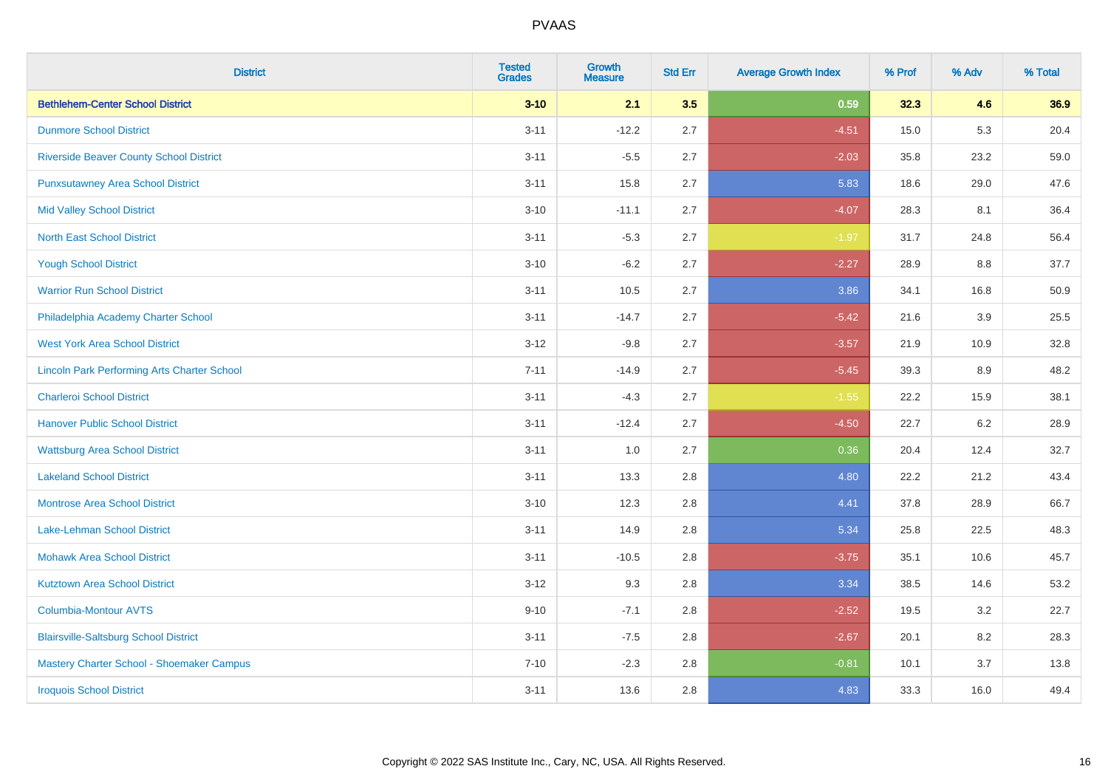| <b>District</b>                                    | <b>Tested</b><br><b>Grades</b> | <b>Growth</b><br><b>Measure</b> | <b>Std Err</b> | <b>Average Growth Index</b> | % Prof | % Adv | % Total |
|----------------------------------------------------|--------------------------------|---------------------------------|----------------|-----------------------------|--------|-------|---------|
| <b>Bethlehem-Center School District</b>            | $3 - 10$                       | 2.1                             | 3.5            | 0.59                        | 32.3   | 4.6   | 36.9    |
| <b>Dunmore School District</b>                     | $3 - 11$                       | $-12.2$                         | 2.7            | $-4.51$                     | 15.0   | 5.3   | 20.4    |
| <b>Riverside Beaver County School District</b>     | $3 - 11$                       | $-5.5$                          | 2.7            | $-2.03$                     | 35.8   | 23.2  | 59.0    |
| <b>Punxsutawney Area School District</b>           | $3 - 11$                       | 15.8                            | 2.7            | 5.83                        | 18.6   | 29.0  | 47.6    |
| <b>Mid Valley School District</b>                  | $3 - 10$                       | $-11.1$                         | 2.7            | $-4.07$                     | 28.3   | 8.1   | 36.4    |
| <b>North East School District</b>                  | $3 - 11$                       | $-5.3$                          | 2.7            | $-1.97$                     | 31.7   | 24.8  | 56.4    |
| <b>Yough School District</b>                       | $3 - 10$                       | $-6.2$                          | 2.7            | $-2.27$                     | 28.9   | 8.8   | 37.7    |
| <b>Warrior Run School District</b>                 | $3 - 11$                       | 10.5                            | 2.7            | 3.86                        | 34.1   | 16.8  | 50.9    |
| Philadelphia Academy Charter School                | $3 - 11$                       | $-14.7$                         | 2.7            | $-5.42$                     | 21.6   | 3.9   | 25.5    |
| <b>West York Area School District</b>              | $3-12$                         | $-9.8$                          | 2.7            | $-3.57$                     | 21.9   | 10.9  | 32.8    |
| <b>Lincoln Park Performing Arts Charter School</b> | $7 - 11$                       | $-14.9$                         | 2.7            | $-5.45$                     | 39.3   | 8.9   | 48.2    |
| <b>Charleroi School District</b>                   | $3 - 11$                       | $-4.3$                          | 2.7            | $-1.55$                     | 22.2   | 15.9  | 38.1    |
| <b>Hanover Public School District</b>              | $3 - 11$                       | $-12.4$                         | 2.7            | $-4.50$                     | 22.7   | 6.2   | 28.9    |
| <b>Wattsburg Area School District</b>              | $3 - 11$                       | 1.0                             | 2.7            | 0.36                        | 20.4   | 12.4  | 32.7    |
| <b>Lakeland School District</b>                    | $3 - 11$                       | 13.3                            | 2.8            | 4.80                        | 22.2   | 21.2  | 43.4    |
| <b>Montrose Area School District</b>               | $3 - 10$                       | 12.3                            | 2.8            | 4.41                        | 37.8   | 28.9  | 66.7    |
| Lake-Lehman School District                        | $3 - 11$                       | 14.9                            | 2.8            | 5.34                        | 25.8   | 22.5  | 48.3    |
| <b>Mohawk Area School District</b>                 | $3 - 11$                       | $-10.5$                         | 2.8            | $-3.75$                     | 35.1   | 10.6  | 45.7    |
| <b>Kutztown Area School District</b>               | $3-12$                         | 9.3                             | 2.8            | 3.34                        | 38.5   | 14.6  | 53.2    |
| <b>Columbia-Montour AVTS</b>                       | $9 - 10$                       | $-7.1$                          | 2.8            | $-2.52$                     | 19.5   | 3.2   | 22.7    |
| <b>Blairsville-Saltsburg School District</b>       | $3 - 11$                       | $-7.5$                          | 2.8            | $-2.67$                     | 20.1   | 8.2   | 28.3    |
| Mastery Charter School - Shoemaker Campus          | $7 - 10$                       | $-2.3$                          | 2.8            | $-0.81$                     | 10.1   | 3.7   | 13.8    |
| <b>Iroquois School District</b>                    | $3 - 11$                       | 13.6                            | 2.8            | 4.83                        | 33.3   | 16.0  | 49.4    |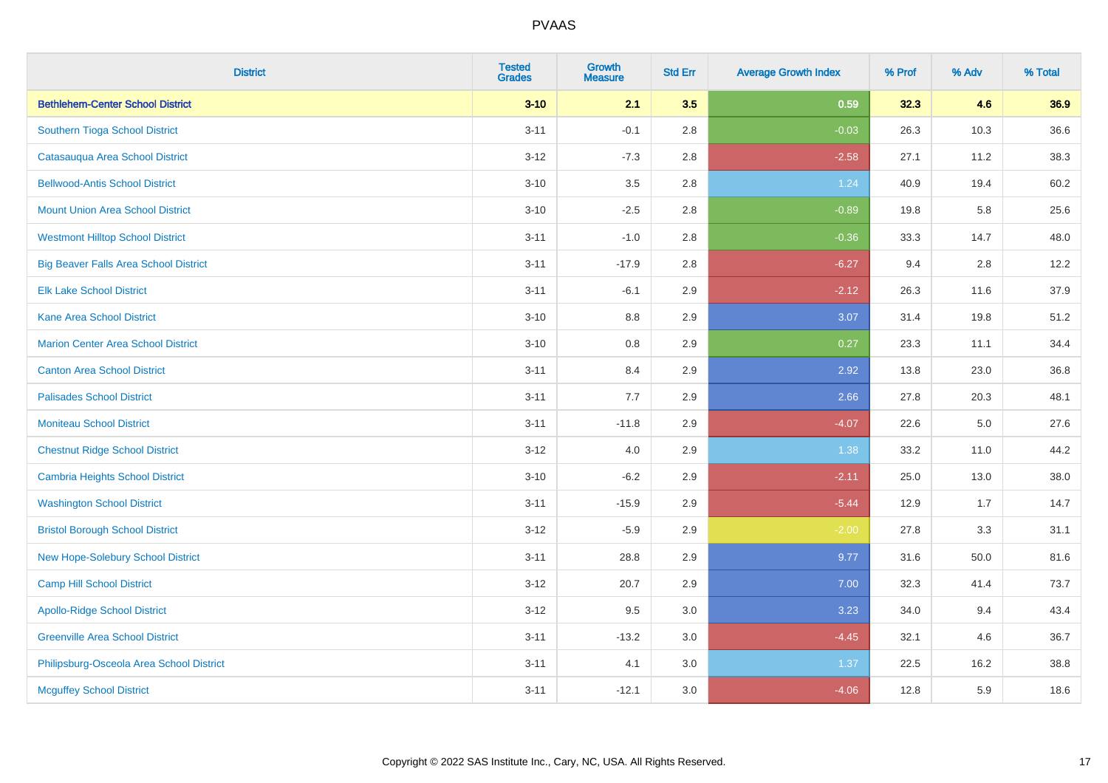| <b>District</b>                              | <b>Tested</b><br><b>Grades</b> | <b>Growth</b><br><b>Measure</b> | <b>Std Err</b> | <b>Average Growth Index</b> | % Prof | % Adv | % Total |
|----------------------------------------------|--------------------------------|---------------------------------|----------------|-----------------------------|--------|-------|---------|
| <b>Bethlehem-Center School District</b>      | $3 - 10$                       | 2.1                             | 3.5            | 0.59                        | 32.3   | 4.6   | 36.9    |
| Southern Tioga School District               | $3 - 11$                       | $-0.1$                          | 2.8            | $-0.03$                     | 26.3   | 10.3  | 36.6    |
| Catasauqua Area School District              | $3 - 12$                       | $-7.3$                          | 2.8            | $-2.58$                     | 27.1   | 11.2  | 38.3    |
| <b>Bellwood-Antis School District</b>        | $3 - 10$                       | $3.5\,$                         | 2.8            | 1.24                        | 40.9   | 19.4  | 60.2    |
| <b>Mount Union Area School District</b>      | $3 - 10$                       | $-2.5$                          | 2.8            | $-0.89$                     | 19.8   | 5.8   | 25.6    |
| <b>Westmont Hilltop School District</b>      | $3 - 11$                       | $-1.0$                          | 2.8            | $-0.36$                     | 33.3   | 14.7  | 48.0    |
| <b>Big Beaver Falls Area School District</b> | $3 - 11$                       | $-17.9$                         | 2.8            | $-6.27$                     | 9.4    | 2.8   | 12.2    |
| <b>Elk Lake School District</b>              | $3 - 11$                       | $-6.1$                          | 2.9            | $-2.12$                     | 26.3   | 11.6  | 37.9    |
| <b>Kane Area School District</b>             | $3 - 10$                       | 8.8                             | 2.9            | 3.07                        | 31.4   | 19.8  | 51.2    |
| <b>Marion Center Area School District</b>    | $3 - 10$                       | $0.8\,$                         | 2.9            | 0.27                        | 23.3   | 11.1  | 34.4    |
| <b>Canton Area School District</b>           | $3 - 11$                       | 8.4                             | 2.9            | 2.92                        | 13.8   | 23.0  | 36.8    |
| <b>Palisades School District</b>             | $3 - 11$                       | 7.7                             | 2.9            | 2.66                        | 27.8   | 20.3  | 48.1    |
| <b>Moniteau School District</b>              | $3 - 11$                       | $-11.8$                         | 2.9            | $-4.07$                     | 22.6   | 5.0   | 27.6    |
| <b>Chestnut Ridge School District</b>        | $3-12$                         | 4.0                             | 2.9            | 1.38                        | 33.2   | 11.0  | 44.2    |
| <b>Cambria Heights School District</b>       | $3 - 10$                       | $-6.2$                          | 2.9            | $-2.11$                     | 25.0   | 13.0  | 38.0    |
| <b>Washington School District</b>            | $3 - 11$                       | $-15.9$                         | 2.9            | $-5.44$                     | 12.9   | 1.7   | 14.7    |
| <b>Bristol Borough School District</b>       | $3 - 12$                       | $-5.9$                          | 2.9            | $-2.00$                     | 27.8   | 3.3   | 31.1    |
| New Hope-Solebury School District            | $3 - 11$                       | 28.8                            | 2.9            | 9.77                        | 31.6   | 50.0  | 81.6    |
| <b>Camp Hill School District</b>             | $3 - 12$                       | 20.7                            | 2.9            | 7.00                        | 32.3   | 41.4  | 73.7    |
| <b>Apollo-Ridge School District</b>          | $3 - 12$                       | 9.5                             | 3.0            | 3.23                        | 34.0   | 9.4   | 43.4    |
| <b>Greenville Area School District</b>       | $3 - 11$                       | $-13.2$                         | 3.0            | $-4.45$                     | 32.1   | 4.6   | 36.7    |
| Philipsburg-Osceola Area School District     | $3 - 11$                       | 4.1                             | 3.0            | 1.37                        | 22.5   | 16.2  | 38.8    |
| <b>Mcguffey School District</b>              | $3 - 11$                       | $-12.1$                         | 3.0            | $-4.06$                     | 12.8   | 5.9   | 18.6    |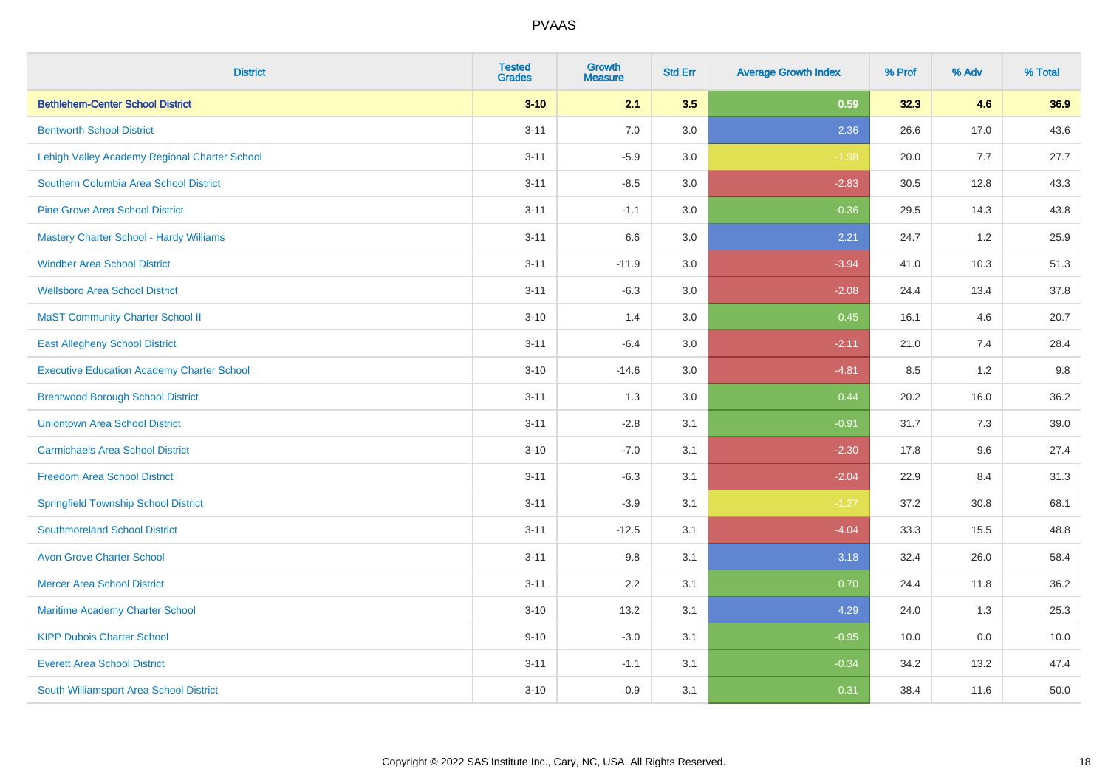| <b>District</b>                                   | <b>Tested</b><br><b>Grades</b> | <b>Growth</b><br><b>Measure</b> | <b>Std Err</b> | <b>Average Growth Index</b> | % Prof | % Adv | % Total |
|---------------------------------------------------|--------------------------------|---------------------------------|----------------|-----------------------------|--------|-------|---------|
| <b>Bethlehem-Center School District</b>           | $3 - 10$                       | 2.1                             | 3.5            | 0.59                        | 32.3   | 4.6   | 36.9    |
| <b>Bentworth School District</b>                  | $3 - 11$                       | 7.0                             | 3.0            | 2.36                        | 26.6   | 17.0  | 43.6    |
| Lehigh Valley Academy Regional Charter School     | $3 - 11$                       | $-5.9$                          | 3.0            | $-1.98$                     | 20.0   | 7.7   | 27.7    |
| Southern Columbia Area School District            | $3 - 11$                       | $-8.5$                          | 3.0            | $-2.83$                     | 30.5   | 12.8  | 43.3    |
| <b>Pine Grove Area School District</b>            | $3 - 11$                       | $-1.1$                          | 3.0            | $-0.36$                     | 29.5   | 14.3  | 43.8    |
| Mastery Charter School - Hardy Williams           | $3 - 11$                       | 6.6                             | 3.0            | 2.21                        | 24.7   | 1.2   | 25.9    |
| <b>Windber Area School District</b>               | $3 - 11$                       | $-11.9$                         | 3.0            | $-3.94$                     | 41.0   | 10.3  | 51.3    |
| <b>Wellsboro Area School District</b>             | $3 - 11$                       | $-6.3$                          | 3.0            | $-2.08$                     | 24.4   | 13.4  | 37.8    |
| <b>MaST Community Charter School II</b>           | $3 - 10$                       | 1.4                             | 3.0            | 0.45                        | 16.1   | 4.6   | 20.7    |
| <b>East Allegheny School District</b>             | $3 - 11$                       | $-6.4$                          | 3.0            | $-2.11$                     | 21.0   | 7.4   | 28.4    |
| <b>Executive Education Academy Charter School</b> | $3 - 10$                       | $-14.6$                         | 3.0            | $-4.81$                     | 8.5    | 1.2   | 9.8     |
| <b>Brentwood Borough School District</b>          | $3 - 11$                       | 1.3                             | 3.0            | 0.44                        | 20.2   | 16.0  | 36.2    |
| <b>Uniontown Area School District</b>             | $3 - 11$                       | $-2.8$                          | 3.1            | $-0.91$                     | 31.7   | 7.3   | 39.0    |
| <b>Carmichaels Area School District</b>           | $3 - 10$                       | $-7.0$                          | 3.1            | $-2.30$                     | 17.8   | 9.6   | 27.4    |
| <b>Freedom Area School District</b>               | $3 - 11$                       | $-6.3$                          | 3.1            | $-2.04$                     | 22.9   | 8.4   | 31.3    |
| <b>Springfield Township School District</b>       | $3 - 11$                       | $-3.9$                          | 3.1            | $-1.27$                     | 37.2   | 30.8  | 68.1    |
| <b>Southmoreland School District</b>              | $3 - 11$                       | $-12.5$                         | 3.1            | $-4.04$                     | 33.3   | 15.5  | 48.8    |
| <b>Avon Grove Charter School</b>                  | $3 - 11$                       | 9.8                             | 3.1            | 3.18                        | 32.4   | 26.0  | 58.4    |
| <b>Mercer Area School District</b>                | $3 - 11$                       | 2.2                             | 3.1            | 0.70                        | 24.4   | 11.8  | 36.2    |
| Maritime Academy Charter School                   | $3 - 10$                       | 13.2                            | 3.1            | 4.29                        | 24.0   | 1.3   | 25.3    |
| <b>KIPP Dubois Charter School</b>                 | $9 - 10$                       | $-3.0$                          | 3.1            | $-0.95$                     | 10.0   | 0.0   | 10.0    |
| <b>Everett Area School District</b>               | $3 - 11$                       | $-1.1$                          | 3.1            | $-0.34$                     | 34.2   | 13.2  | 47.4    |
| South Williamsport Area School District           | $3 - 10$                       | 0.9                             | 3.1            | 0.31                        | 38.4   | 11.6  | 50.0    |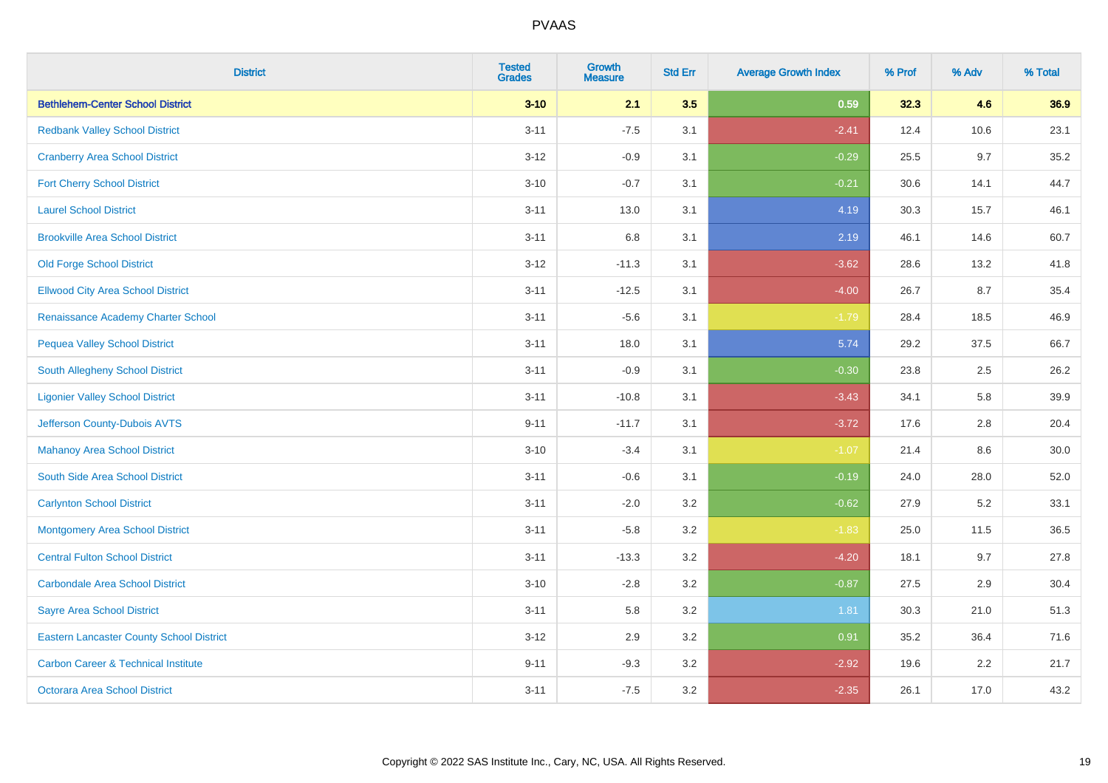| <b>District</b>                                 | <b>Tested</b><br><b>Grades</b> | <b>Growth</b><br><b>Measure</b> | <b>Std Err</b> | <b>Average Growth Index</b> | % Prof | % Adv | % Total |
|-------------------------------------------------|--------------------------------|---------------------------------|----------------|-----------------------------|--------|-------|---------|
| <b>Bethlehem-Center School District</b>         | $3 - 10$                       | 2.1                             | 3.5            | 0.59                        | 32.3   | 4.6   | 36.9    |
| <b>Redbank Valley School District</b>           | $3 - 11$                       | $-7.5$                          | 3.1            | $-2.41$                     | 12.4   | 10.6  | 23.1    |
| <b>Cranberry Area School District</b>           | $3 - 12$                       | $-0.9$                          | 3.1            | $-0.29$                     | 25.5   | 9.7   | 35.2    |
| <b>Fort Cherry School District</b>              | $3 - 10$                       | $-0.7$                          | 3.1            | $-0.21$                     | 30.6   | 14.1  | 44.7    |
| <b>Laurel School District</b>                   | $3 - 11$                       | 13.0                            | 3.1            | 4.19                        | 30.3   | 15.7  | 46.1    |
| <b>Brookville Area School District</b>          | $3 - 11$                       | $6.8\,$                         | 3.1            | 2.19                        | 46.1   | 14.6  | 60.7    |
| <b>Old Forge School District</b>                | $3 - 12$                       | $-11.3$                         | 3.1            | $-3.62$                     | 28.6   | 13.2  | 41.8    |
| <b>Ellwood City Area School District</b>        | $3 - 11$                       | $-12.5$                         | 3.1            | $-4.00$                     | 26.7   | 8.7   | 35.4    |
| Renaissance Academy Charter School              | $3 - 11$                       | $-5.6$                          | 3.1            | $-1.79$                     | 28.4   | 18.5  | 46.9    |
| <b>Pequea Valley School District</b>            | $3 - 11$                       | 18.0                            | 3.1            | 5.74                        | 29.2   | 37.5  | 66.7    |
| South Allegheny School District                 | $3 - 11$                       | $-0.9$                          | 3.1            | $-0.30$                     | 23.8   | 2.5   | 26.2    |
| <b>Ligonier Valley School District</b>          | $3 - 11$                       | $-10.8$                         | 3.1            | $-3.43$                     | 34.1   | 5.8   | 39.9    |
| Jefferson County-Dubois AVTS                    | $9 - 11$                       | $-11.7$                         | 3.1            | $-3.72$                     | 17.6   | 2.8   | 20.4    |
| <b>Mahanoy Area School District</b>             | $3 - 10$                       | $-3.4$                          | 3.1            | $-1.07$                     | 21.4   | 8.6   | 30.0    |
| South Side Area School District                 | $3 - 11$                       | $-0.6$                          | 3.1            | $-0.19$                     | 24.0   | 28.0  | 52.0    |
| <b>Carlynton School District</b>                | $3 - 11$                       | $-2.0$                          | 3.2            | $-0.62$                     | 27.9   | 5.2   | 33.1    |
| <b>Montgomery Area School District</b>          | $3 - 11$                       | $-5.8$                          | 3.2            | $-1.83$                     | 25.0   | 11.5  | 36.5    |
| <b>Central Fulton School District</b>           | $3 - 11$                       | $-13.3$                         | 3.2            | $-4.20$                     | 18.1   | 9.7   | 27.8    |
| <b>Carbondale Area School District</b>          | $3 - 10$                       | $-2.8$                          | 3.2            | $-0.87$                     | 27.5   | 2.9   | 30.4    |
| <b>Sayre Area School District</b>               | $3 - 11$                       | 5.8                             | 3.2            | 1.81                        | 30.3   | 21.0  | 51.3    |
| <b>Eastern Lancaster County School District</b> | $3 - 12$                       | 2.9                             | 3.2            | 0.91                        | 35.2   | 36.4  | 71.6    |
| <b>Carbon Career &amp; Technical Institute</b>  | $9 - 11$                       | $-9.3$                          | 3.2            | $-2.92$                     | 19.6   | 2.2   | 21.7    |
| Octorara Area School District                   | $3 - 11$                       | $-7.5$                          | 3.2            | $-2.35$                     | 26.1   | 17.0  | 43.2    |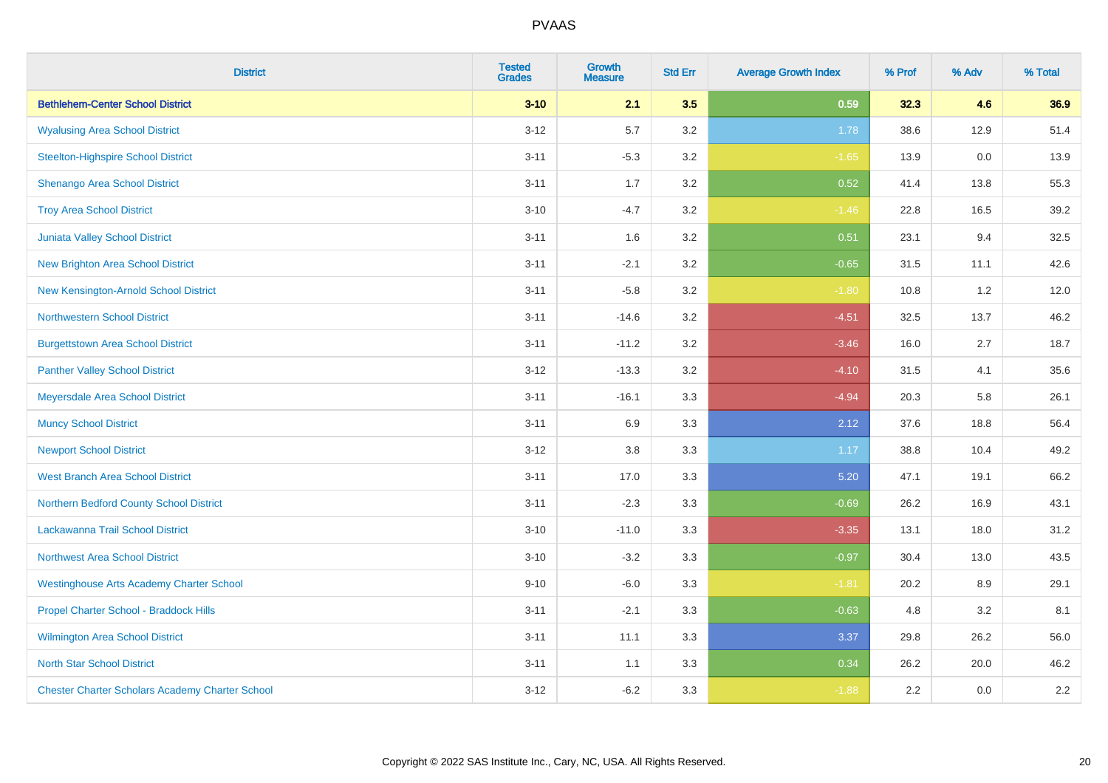| <b>District</b>                                        | <b>Tested</b><br><b>Grades</b> | <b>Growth</b><br><b>Measure</b> | <b>Std Err</b> | <b>Average Growth Index</b> | % Prof | % Adv | % Total |
|--------------------------------------------------------|--------------------------------|---------------------------------|----------------|-----------------------------|--------|-------|---------|
| <b>Bethlehem-Center School District</b>                | $3 - 10$                       | 2.1                             | 3.5            | 0.59                        | 32.3   | 4.6   | 36.9    |
| <b>Wyalusing Area School District</b>                  | $3 - 12$                       | 5.7                             | 3.2            | 1.78                        | 38.6   | 12.9  | 51.4    |
| <b>Steelton-Highspire School District</b>              | $3 - 11$                       | $-5.3$                          | 3.2            | $-1.65$                     | 13.9   | 0.0   | 13.9    |
| Shenango Area School District                          | $3 - 11$                       | 1.7                             | 3.2            | 0.52                        | 41.4   | 13.8  | 55.3    |
| <b>Troy Area School District</b>                       | $3 - 10$                       | $-4.7$                          | 3.2            | $-1.46$                     | 22.8   | 16.5  | 39.2    |
| Juniata Valley School District                         | $3 - 11$                       | 1.6                             | 3.2            | 0.51                        | 23.1   | 9.4   | 32.5    |
| <b>New Brighton Area School District</b>               | $3 - 11$                       | $-2.1$                          | 3.2            | $-0.65$                     | 31.5   | 11.1  | 42.6    |
| New Kensington-Arnold School District                  | $3 - 11$                       | $-5.8$                          | 3.2            | $-1.80$                     | 10.8   | 1.2   | 12.0    |
| <b>Northwestern School District</b>                    | $3 - 11$                       | $-14.6$                         | 3.2            | $-4.51$                     | 32.5   | 13.7  | 46.2    |
| <b>Burgettstown Area School District</b>               | $3 - 11$                       | $-11.2$                         | 3.2            | $-3.46$                     | 16.0   | 2.7   | 18.7    |
| <b>Panther Valley School District</b>                  | $3 - 12$                       | $-13.3$                         | 3.2            | $-4.10$                     | 31.5   | 4.1   | 35.6    |
| Meyersdale Area School District                        | $3 - 11$                       | $-16.1$                         | 3.3            | $-4.94$                     | 20.3   | 5.8   | 26.1    |
| <b>Muncy School District</b>                           | $3 - 11$                       | 6.9                             | 3.3            | 2.12                        | 37.6   | 18.8  | 56.4    |
| <b>Newport School District</b>                         | $3 - 12$                       | 3.8                             | 3.3            | 1.17                        | 38.8   | 10.4  | 49.2    |
| <b>West Branch Area School District</b>                | $3 - 11$                       | 17.0                            | 3.3            | 5.20                        | 47.1   | 19.1  | 66.2    |
| Northern Bedford County School District                | $3 - 11$                       | $-2.3$                          | 3.3            | $-0.69$                     | 26.2   | 16.9  | 43.1    |
| Lackawanna Trail School District                       | $3 - 10$                       | $-11.0$                         | 3.3            | $-3.35$                     | 13.1   | 18.0  | 31.2    |
| Northwest Area School District                         | $3 - 10$                       | $-3.2$                          | 3.3            | $-0.97$                     | 30.4   | 13.0  | 43.5    |
| <b>Westinghouse Arts Academy Charter School</b>        | $9 - 10$                       | $-6.0$                          | 3.3            | $-1.81$                     | 20.2   | 8.9   | 29.1    |
| Propel Charter School - Braddock Hills                 | $3 - 11$                       | $-2.1$                          | 3.3            | $-0.63$                     | 4.8    | 3.2   | 8.1     |
| Wilmington Area School District                        | $3 - 11$                       | 11.1                            | 3.3            | 3.37                        | 29.8   | 26.2  | 56.0    |
| <b>North Star School District</b>                      | $3 - 11$                       | 1.1                             | 3.3            | 0.34                        | 26.2   | 20.0  | 46.2    |
| <b>Chester Charter Scholars Academy Charter School</b> | $3 - 12$                       | $-6.2$                          | 3.3            | $-1.88$                     | 2.2    | 0.0   | 2.2     |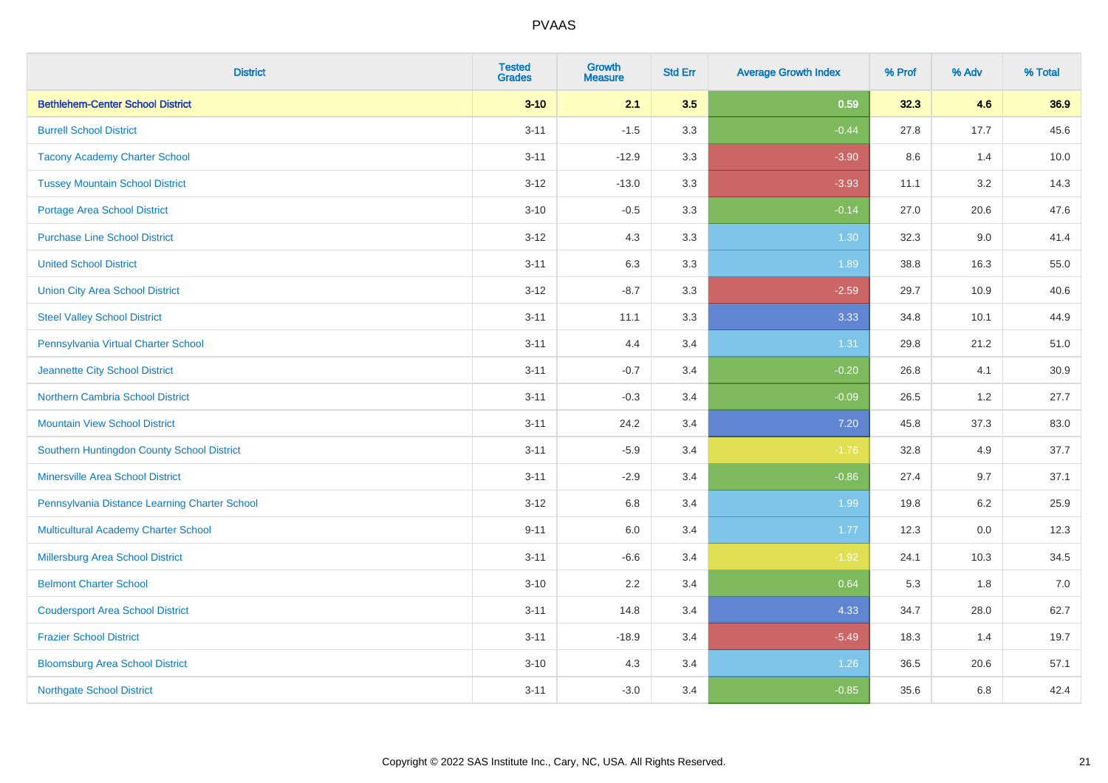| <b>District</b>                               | <b>Tested</b><br><b>Grades</b> | <b>Growth</b><br><b>Measure</b> | <b>Std Err</b> | <b>Average Growth Index</b> | % Prof | % Adv   | % Total |
|-----------------------------------------------|--------------------------------|---------------------------------|----------------|-----------------------------|--------|---------|---------|
| <b>Bethlehem-Center School District</b>       | $3 - 10$                       | 2.1                             | 3.5            | 0.59                        | 32.3   | 4.6     | 36.9    |
| <b>Burrell School District</b>                | $3 - 11$                       | $-1.5$                          | 3.3            | $-0.44$                     | 27.8   | 17.7    | 45.6    |
| <b>Tacony Academy Charter School</b>          | $3 - 11$                       | $-12.9$                         | 3.3            | $-3.90$                     | 8.6    | 1.4     | 10.0    |
| <b>Tussey Mountain School District</b>        | $3 - 12$                       | $-13.0$                         | 3.3            | $-3.93$                     | 11.1   | 3.2     | 14.3    |
| <b>Portage Area School District</b>           | $3 - 10$                       | $-0.5$                          | 3.3            | $-0.14$                     | 27.0   | 20.6    | 47.6    |
| <b>Purchase Line School District</b>          | $3 - 12$                       | 4.3                             | 3.3            | 1.30                        | 32.3   | 9.0     | 41.4    |
| <b>United School District</b>                 | $3 - 11$                       | 6.3                             | 3.3            | 1.89                        | 38.8   | 16.3    | 55.0    |
| <b>Union City Area School District</b>        | $3 - 12$                       | $-8.7$                          | 3.3            | $-2.59$                     | 29.7   | 10.9    | 40.6    |
| <b>Steel Valley School District</b>           | $3 - 11$                       | 11.1                            | 3.3            | 3.33                        | 34.8   | 10.1    | 44.9    |
| Pennsylvania Virtual Charter School           | $3 - 11$                       | 4.4                             | 3.4            | 1.31                        | 29.8   | 21.2    | 51.0    |
| Jeannette City School District                | $3 - 11$                       | $-0.7$                          | 3.4            | $-0.20$                     | 26.8   | 4.1     | 30.9    |
| Northern Cambria School District              | $3 - 11$                       | $-0.3$                          | 3.4            | $-0.09$                     | 26.5   | 1.2     | 27.7    |
| <b>Mountain View School District</b>          | $3 - 11$                       | 24.2                            | 3.4            | 7.20                        | 45.8   | 37.3    | 83.0    |
| Southern Huntingdon County School District    | $3 - 11$                       | $-5.9$                          | 3.4            | $-1.76$                     | 32.8   | 4.9     | 37.7    |
| <b>Minersville Area School District</b>       | $3 - 11$                       | $-2.9$                          | 3.4            | $-0.86$                     | 27.4   | 9.7     | 37.1    |
| Pennsylvania Distance Learning Charter School | $3 - 12$                       | 6.8                             | 3.4            | 1.99                        | 19.8   | 6.2     | 25.9    |
| <b>Multicultural Academy Charter School</b>   | $9 - 11$                       | 6.0                             | 3.4            | 1.77                        | 12.3   | $0.0\,$ | 12.3    |
| Millersburg Area School District              | $3 - 11$                       | $-6.6$                          | 3.4            | $-1.92$                     | 24.1   | 10.3    | 34.5    |
| <b>Belmont Charter School</b>                 | $3 - 10$                       | 2.2                             | 3.4            | 0.64                        | 5.3    | 1.8     | 7.0     |
| <b>Coudersport Area School District</b>       | $3 - 11$                       | 14.8                            | 3.4            | 4.33                        | 34.7   | 28.0    | 62.7    |
| <b>Frazier School District</b>                | $3 - 11$                       | $-18.9$                         | 3.4            | $-5.49$                     | 18.3   | 1.4     | 19.7    |
| <b>Bloomsburg Area School District</b>        | $3 - 10$                       | 4.3                             | 3.4            | 1.26                        | 36.5   | 20.6    | 57.1    |
| <b>Northgate School District</b>              | $3 - 11$                       | $-3.0$                          | 3.4            | $-0.85$                     | 35.6   | 6.8     | 42.4    |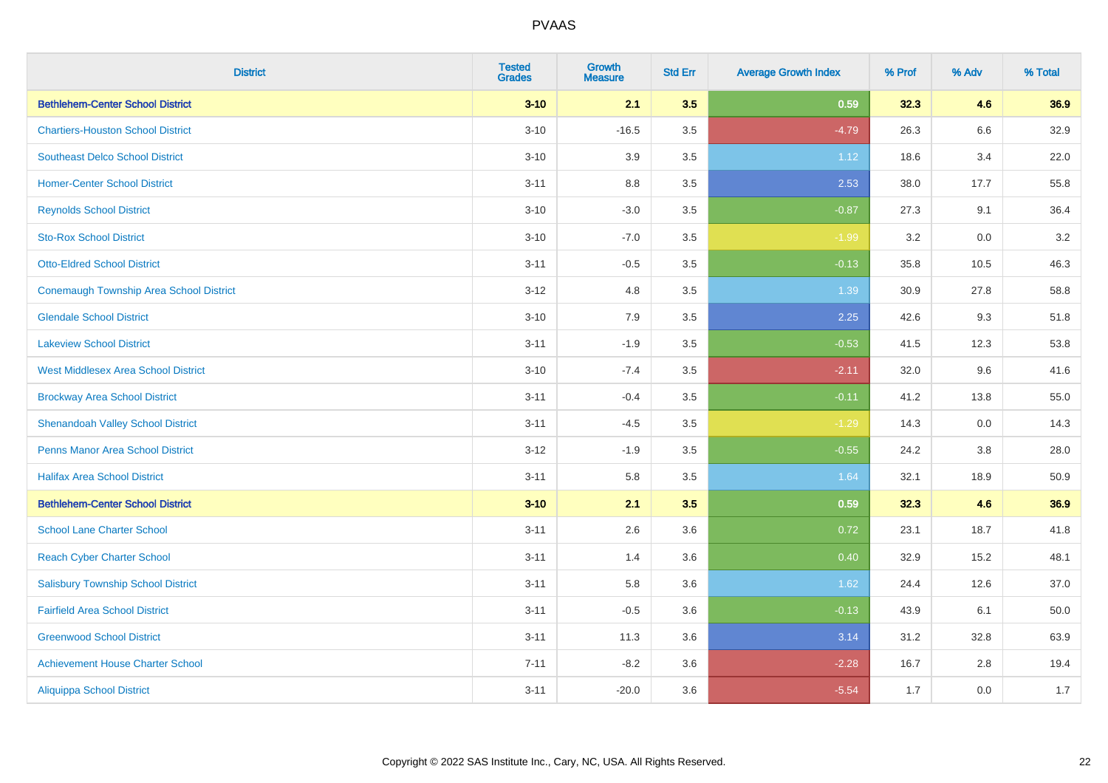| <b>District</b>                                | <b>Tested</b><br><b>Grades</b> | <b>Growth</b><br><b>Measure</b> | <b>Std Err</b> | <b>Average Growth Index</b> | % Prof | % Adv | % Total |
|------------------------------------------------|--------------------------------|---------------------------------|----------------|-----------------------------|--------|-------|---------|
| <b>Bethlehem-Center School District</b>        | $3 - 10$                       | 2.1                             | 3.5            | 0.59                        | 32.3   | 4.6   | 36.9    |
| <b>Chartiers-Houston School District</b>       | $3 - 10$                       | $-16.5$                         | 3.5            | $-4.79$                     | 26.3   | 6.6   | 32.9    |
| <b>Southeast Delco School District</b>         | $3 - 10$                       | 3.9                             | 3.5            | 1.12                        | 18.6   | 3.4   | 22.0    |
| <b>Homer-Center School District</b>            | $3 - 11$                       | 8.8                             | 3.5            | 2.53                        | 38.0   | 17.7  | 55.8    |
| <b>Reynolds School District</b>                | $3 - 10$                       | $-3.0$                          | 3.5            | $-0.87$                     | 27.3   | 9.1   | 36.4    |
| <b>Sto-Rox School District</b>                 | $3 - 10$                       | $-7.0$                          | 3.5            | $-1.99$                     | 3.2    | 0.0   | 3.2     |
| <b>Otto-Eldred School District</b>             | $3 - 11$                       | $-0.5$                          | 3.5            | $-0.13$                     | 35.8   | 10.5  | 46.3    |
| <b>Conemaugh Township Area School District</b> | $3 - 12$                       | 4.8                             | 3.5            | 1.39                        | 30.9   | 27.8  | 58.8    |
| <b>Glendale School District</b>                | $3 - 10$                       | 7.9                             | 3.5            | 2.25                        | 42.6   | 9.3   | 51.8    |
| <b>Lakeview School District</b>                | $3 - 11$                       | $-1.9$                          | 3.5            | $-0.53$                     | 41.5   | 12.3  | 53.8    |
| <b>West Middlesex Area School District</b>     | $3 - 10$                       | $-7.4$                          | 3.5            | $-2.11$                     | 32.0   | 9.6   | 41.6    |
| <b>Brockway Area School District</b>           | $3 - 11$                       | $-0.4$                          | 3.5            | $-0.11$                     | 41.2   | 13.8  | 55.0    |
| <b>Shenandoah Valley School District</b>       | $3 - 11$                       | $-4.5$                          | 3.5            | $-1.29$                     | 14.3   | 0.0   | 14.3    |
| <b>Penns Manor Area School District</b>        | $3 - 12$                       | $-1.9$                          | 3.5            | $-0.55$                     | 24.2   | 3.8   | 28.0    |
| <b>Halifax Area School District</b>            | $3 - 11$                       | 5.8                             | 3.5            | 1.64                        | 32.1   | 18.9  | 50.9    |
| <b>Bethlehem-Center School District</b>        | $3 - 10$                       | 2.1                             | 3.5            | 0.59                        | 32.3   | 4.6   | 36.9    |
| <b>School Lane Charter School</b>              | $3 - 11$                       | 2.6                             | 3.6            | 0.72                        | 23.1   | 18.7  | 41.8    |
| <b>Reach Cyber Charter School</b>              | $3 - 11$                       | 1.4                             | 3.6            | 0.40                        | 32.9   | 15.2  | 48.1    |
| <b>Salisbury Township School District</b>      | $3 - 11$                       | 5.8                             | 3.6            | 1.62                        | 24.4   | 12.6  | 37.0    |
| <b>Fairfield Area School District</b>          | $3 - 11$                       | $-0.5$                          | 3.6            | $-0.13$                     | 43.9   | 6.1   | 50.0    |
| <b>Greenwood School District</b>               | $3 - 11$                       | 11.3                            | 3.6            | 3.14                        | 31.2   | 32.8  | 63.9    |
| <b>Achievement House Charter School</b>        | $7 - 11$                       | $-8.2$                          | 3.6            | $-2.28$                     | 16.7   | 2.8   | 19.4    |
| <b>Aliquippa School District</b>               | $3 - 11$                       | $-20.0$                         | 3.6            | $-5.54$                     | 1.7    | 0.0   | 1.7     |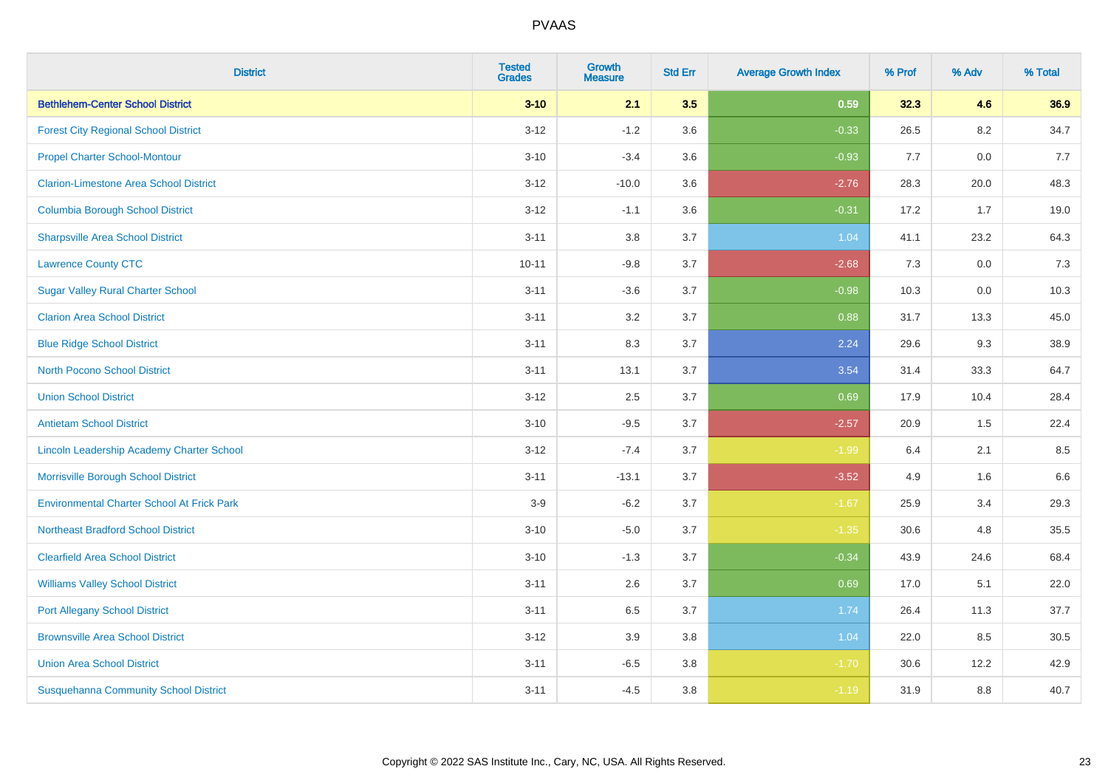| <b>District</b>                                   | <b>Tested</b><br><b>Grades</b> | <b>Growth</b><br><b>Measure</b> | <b>Std Err</b> | <b>Average Growth Index</b> | % Prof | % Adv   | % Total |
|---------------------------------------------------|--------------------------------|---------------------------------|----------------|-----------------------------|--------|---------|---------|
| <b>Bethlehem-Center School District</b>           | $3 - 10$                       | 2.1                             | 3.5            | 0.59                        | 32.3   | 4.6     | 36.9    |
| <b>Forest City Regional School District</b>       | $3 - 12$                       | $-1.2$                          | 3.6            | $-0.33$                     | 26.5   | $8.2\,$ | 34.7    |
| <b>Propel Charter School-Montour</b>              | $3 - 10$                       | $-3.4$                          | 3.6            | $-0.93$                     | 7.7    | 0.0     | 7.7     |
| <b>Clarion-Limestone Area School District</b>     | $3 - 12$                       | $-10.0$                         | 3.6            | $-2.76$                     | 28.3   | 20.0    | 48.3    |
| <b>Columbia Borough School District</b>           | $3 - 12$                       | $-1.1$                          | 3.6            | $-0.31$                     | 17.2   | 1.7     | 19.0    |
| <b>Sharpsville Area School District</b>           | $3 - 11$                       | 3.8                             | 3.7            | 1.04                        | 41.1   | 23.2    | 64.3    |
| <b>Lawrence County CTC</b>                        | $10 - 11$                      | $-9.8$                          | 3.7            | $-2.68$                     | 7.3    | 0.0     | 7.3     |
| <b>Sugar Valley Rural Charter School</b>          | $3 - 11$                       | $-3.6$                          | 3.7            | $-0.98$                     | 10.3   | 0.0     | 10.3    |
| <b>Clarion Area School District</b>               | $3 - 11$                       | 3.2                             | 3.7            | 0.88                        | 31.7   | 13.3    | 45.0    |
| <b>Blue Ridge School District</b>                 | $3 - 11$                       | 8.3                             | 3.7            | 2.24                        | 29.6   | 9.3     | 38.9    |
| <b>North Pocono School District</b>               | $3 - 11$                       | 13.1                            | 3.7            | 3.54                        | 31.4   | 33.3    | 64.7    |
| <b>Union School District</b>                      | $3 - 12$                       | 2.5                             | 3.7            | 0.69                        | 17.9   | 10.4    | 28.4    |
| <b>Antietam School District</b>                   | $3 - 10$                       | $-9.5$                          | 3.7            | $-2.57$                     | 20.9   | 1.5     | 22.4    |
| Lincoln Leadership Academy Charter School         | $3 - 12$                       | $-7.4$                          | 3.7            | $-1.99$                     | 6.4    | 2.1     | 8.5     |
| Morrisville Borough School District               | $3 - 11$                       | $-13.1$                         | 3.7            | $-3.52$                     | 4.9    | 1.6     | 6.6     |
| <b>Environmental Charter School At Frick Park</b> | $3-9$                          | $-6.2$                          | 3.7            | $-1.67$                     | 25.9   | 3.4     | 29.3    |
| <b>Northeast Bradford School District</b>         | $3 - 10$                       | $-5.0$                          | 3.7            | $-1.35$                     | 30.6   | 4.8     | 35.5    |
| <b>Clearfield Area School District</b>            | $3 - 10$                       | $-1.3$                          | 3.7            | $-0.34$                     | 43.9   | 24.6    | 68.4    |
| <b>Williams Valley School District</b>            | $3 - 11$                       | 2.6                             | 3.7            | 0.69                        | 17.0   | 5.1     | 22.0    |
| <b>Port Allegany School District</b>              | $3 - 11$                       | 6.5                             | 3.7            | 1.74                        | 26.4   | 11.3    | 37.7    |
| <b>Brownsville Area School District</b>           | $3 - 12$                       | 3.9                             | 3.8            | 1.04                        | 22.0   | 8.5     | 30.5    |
| <b>Union Area School District</b>                 | $3 - 11$                       | $-6.5$                          | 3.8            | $-1.70$                     | 30.6   | 12.2    | 42.9    |
| <b>Susquehanna Community School District</b>      | $3 - 11$                       | $-4.5$                          | 3.8            | $-1.19$                     | 31.9   | 8.8     | 40.7    |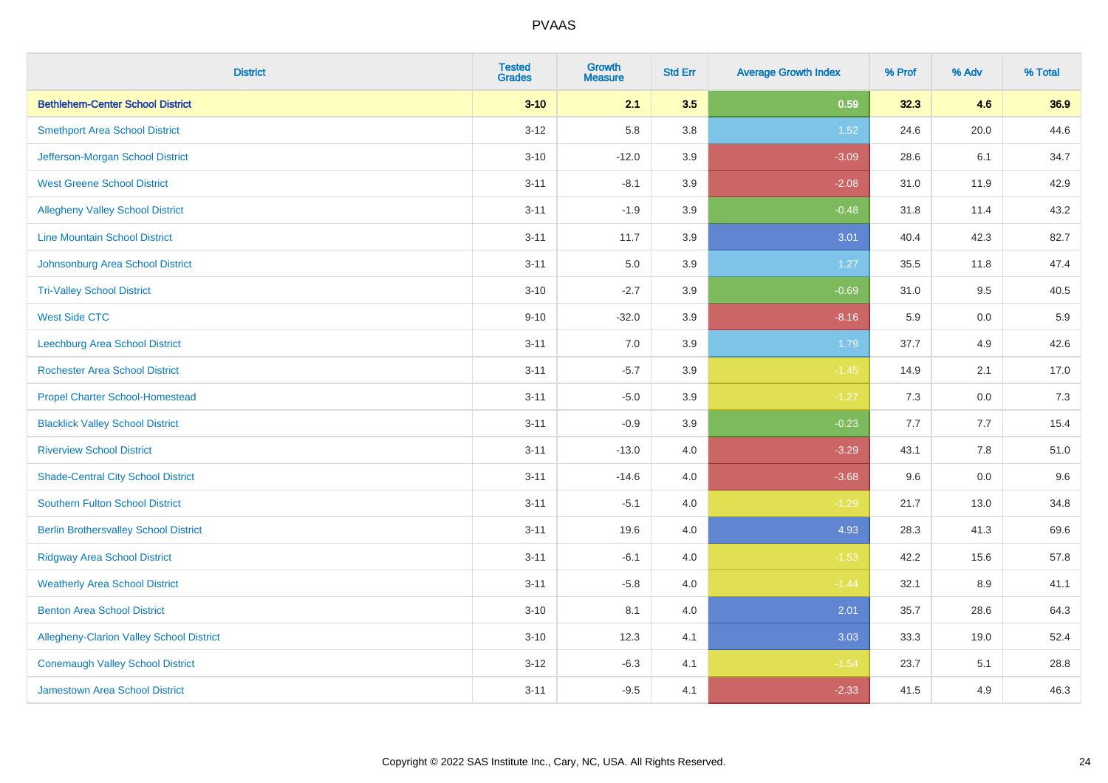| <b>District</b>                                 | <b>Tested</b><br><b>Grades</b> | <b>Growth</b><br><b>Measure</b> | <b>Std Err</b> | <b>Average Growth Index</b> | % Prof  | % Adv | % Total |
|-------------------------------------------------|--------------------------------|---------------------------------|----------------|-----------------------------|---------|-------|---------|
| <b>Bethlehem-Center School District</b>         | $3 - 10$                       | 2.1                             | 3.5            | 0.59                        | 32.3    | 4.6   | 36.9    |
| <b>Smethport Area School District</b>           | $3 - 12$                       | 5.8                             | 3.8            | 1.52                        | 24.6    | 20.0  | 44.6    |
| Jefferson-Morgan School District                | $3 - 10$                       | $-12.0$                         | 3.9            | $-3.09$                     | 28.6    | 6.1   | 34.7    |
| <b>West Greene School District</b>              | $3 - 11$                       | $-8.1$                          | 3.9            | $-2.08$                     | 31.0    | 11.9  | 42.9    |
| <b>Allegheny Valley School District</b>         | $3 - 11$                       | $-1.9$                          | 3.9            | $-0.48$                     | 31.8    | 11.4  | 43.2    |
| <b>Line Mountain School District</b>            | $3 - 11$                       | 11.7                            | 3.9            | 3.01                        | 40.4    | 42.3  | 82.7    |
| Johnsonburg Area School District                | $3 - 11$                       | 5.0                             | 3.9            | 1.27                        | 35.5    | 11.8  | 47.4    |
| <b>Tri-Valley School District</b>               | $3 - 10$                       | $-2.7$                          | 3.9            | $-0.69$                     | 31.0    | 9.5   | 40.5    |
| <b>West Side CTC</b>                            | $9 - 10$                       | $-32.0$                         | 3.9            | $-8.16$                     | 5.9     | 0.0   | 5.9     |
| <b>Leechburg Area School District</b>           | $3 - 11$                       | 7.0                             | 3.9            | 1.79                        | 37.7    | 4.9   | 42.6    |
| <b>Rochester Area School District</b>           | $3 - 11$                       | $-5.7$                          | 3.9            | $-1.45$                     | 14.9    | 2.1   | 17.0    |
| <b>Propel Charter School-Homestead</b>          | $3 - 11$                       | $-5.0$                          | 3.9            | $-1.27$                     | 7.3     | 0.0   | 7.3     |
| <b>Blacklick Valley School District</b>         | $3 - 11$                       | $-0.9$                          | 3.9            | $-0.23$                     | $7.7\,$ | 7.7   | 15.4    |
| <b>Riverview School District</b>                | $3 - 11$                       | $-13.0$                         | 4.0            | $-3.29$                     | 43.1    | 7.8   | 51.0    |
| <b>Shade-Central City School District</b>       | $3 - 11$                       | $-14.6$                         | 4.0            | $-3.68$                     | 9.6     | 0.0   | 9.6     |
| <b>Southern Fulton School District</b>          | $3 - 11$                       | $-5.1$                          | 4.0            | $-1.29$                     | 21.7    | 13.0  | 34.8    |
| <b>Berlin Brothersvalley School District</b>    | $3 - 11$                       | 19.6                            | 4.0            | 4.93                        | 28.3    | 41.3  | 69.6    |
| <b>Ridgway Area School District</b>             | $3 - 11$                       | $-6.1$                          | 4.0            | $-1.53$                     | 42.2    | 15.6  | 57.8    |
| <b>Weatherly Area School District</b>           | $3 - 11$                       | $-5.8$                          | 4.0            | $-1.44$                     | 32.1    | 8.9   | 41.1    |
| <b>Benton Area School District</b>              | $3 - 10$                       | 8.1                             | 4.0            | 2.01                        | 35.7    | 28.6  | 64.3    |
| <b>Allegheny-Clarion Valley School District</b> | $3 - 10$                       | 12.3                            | 4.1            | 3.03                        | 33.3    | 19.0  | 52.4    |
| <b>Conemaugh Valley School District</b>         | $3 - 12$                       | $-6.3$                          | 4.1            | $-1.54$                     | 23.7    | 5.1   | 28.8    |
| <b>Jamestown Area School District</b>           | $3 - 11$                       | $-9.5$                          | 4.1            | $-2.33$                     | 41.5    | 4.9   | 46.3    |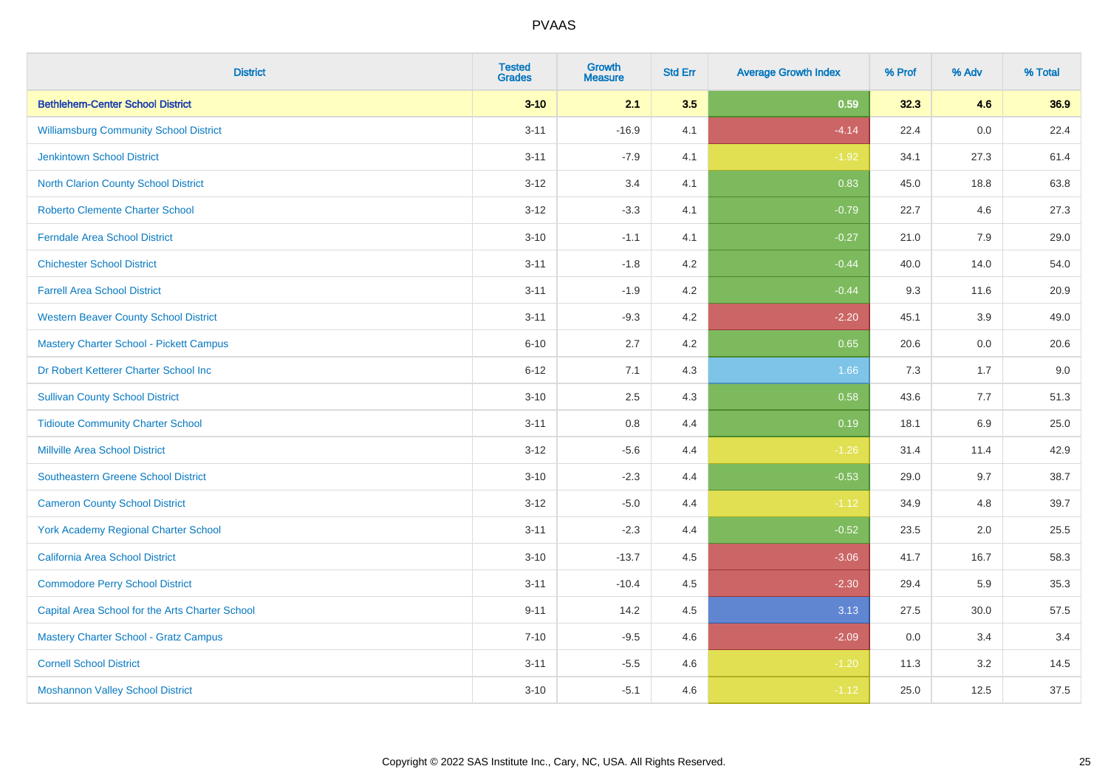| <b>District</b>                                 | <b>Tested</b><br><b>Grades</b> | <b>Growth</b><br><b>Measure</b> | <b>Std Err</b> | <b>Average Growth Index</b> | % Prof | % Adv | % Total |
|-------------------------------------------------|--------------------------------|---------------------------------|----------------|-----------------------------|--------|-------|---------|
| <b>Bethlehem-Center School District</b>         | $3 - 10$                       | 2.1                             | 3.5            | 0.59                        | 32.3   | 4.6   | 36.9    |
| <b>Williamsburg Community School District</b>   | $3 - 11$                       | $-16.9$                         | 4.1            | $-4.14$                     | 22.4   | 0.0   | 22.4    |
| <b>Jenkintown School District</b>               | $3 - 11$                       | $-7.9$                          | 4.1            | $-1.92$                     | 34.1   | 27.3  | 61.4    |
| North Clarion County School District            | $3-12$                         | 3.4                             | 4.1            | 0.83                        | 45.0   | 18.8  | 63.8    |
| <b>Roberto Clemente Charter School</b>          | $3 - 12$                       | $-3.3$                          | 4.1            | $-0.79$                     | 22.7   | 4.6   | 27.3    |
| <b>Ferndale Area School District</b>            | $3 - 10$                       | $-1.1$                          | 4.1            | $-0.27$                     | 21.0   | 7.9   | 29.0    |
| <b>Chichester School District</b>               | $3 - 11$                       | $-1.8$                          | 4.2            | $-0.44$                     | 40.0   | 14.0  | 54.0    |
| <b>Farrell Area School District</b>             | $3 - 11$                       | $-1.9$                          | 4.2            | $-0.44$                     | 9.3    | 11.6  | 20.9    |
| <b>Western Beaver County School District</b>    | $3 - 11$                       | $-9.3$                          | 4.2            | $-2.20$                     | 45.1   | 3.9   | 49.0    |
| <b>Mastery Charter School - Pickett Campus</b>  | $6 - 10$                       | 2.7                             | 4.2            | 0.65                        | 20.6   | 0.0   | 20.6    |
| Dr Robert Ketterer Charter School Inc           | $6 - 12$                       | 7.1                             | 4.3            | 1.66                        | 7.3    | 1.7   | 9.0     |
| <b>Sullivan County School District</b>          | $3 - 10$                       | 2.5                             | 4.3            | 0.58                        | 43.6   | 7.7   | 51.3    |
| <b>Tidioute Community Charter School</b>        | $3 - 11$                       | 0.8                             | 4.4            | 0.19                        | 18.1   | 6.9   | 25.0    |
| <b>Millville Area School District</b>           | $3 - 12$                       | $-5.6$                          | 4.4            | $-1.26$                     | 31.4   | 11.4  | 42.9    |
| <b>Southeastern Greene School District</b>      | $3 - 10$                       | $-2.3$                          | 4.4            | $-0.53$                     | 29.0   | 9.7   | 38.7    |
| <b>Cameron County School District</b>           | $3-12$                         | $-5.0$                          | 4.4            | $-1.12$                     | 34.9   | 4.8   | 39.7    |
| <b>York Academy Regional Charter School</b>     | $3 - 11$                       | $-2.3$                          | 4.4            | $-0.52$                     | 23.5   | 2.0   | 25.5    |
| California Area School District                 | $3 - 10$                       | $-13.7$                         | 4.5            | $-3.06$                     | 41.7   | 16.7  | 58.3    |
| <b>Commodore Perry School District</b>          | $3 - 11$                       | $-10.4$                         | 4.5            | $-2.30$                     | 29.4   | 5.9   | 35.3    |
| Capital Area School for the Arts Charter School | $9 - 11$                       | 14.2                            | 4.5            | 3.13                        | 27.5   | 30.0  | 57.5    |
| <b>Mastery Charter School - Gratz Campus</b>    | $7 - 10$                       | $-9.5$                          | 4.6            | $-2.09$                     | 0.0    | 3.4   | 3.4     |
| <b>Cornell School District</b>                  | $3 - 11$                       | $-5.5$                          | 4.6            | $-1.20$                     | 11.3   | 3.2   | 14.5    |
| <b>Moshannon Valley School District</b>         | $3 - 10$                       | $-5.1$                          | 4.6            | $-1.12$                     | 25.0   | 12.5  | 37.5    |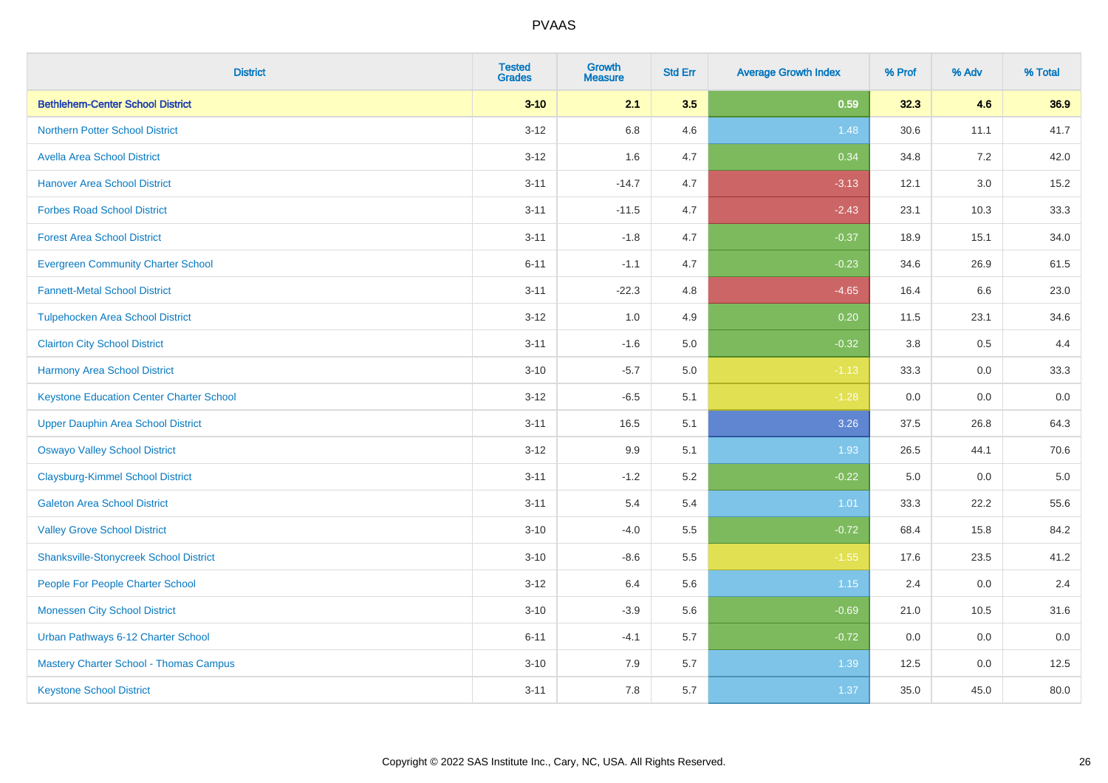| <b>District</b>                                 | <b>Tested</b><br><b>Grades</b> | <b>Growth</b><br><b>Measure</b> | <b>Std Err</b> | <b>Average Growth Index</b> | % Prof | % Adv   | % Total |
|-------------------------------------------------|--------------------------------|---------------------------------|----------------|-----------------------------|--------|---------|---------|
| <b>Bethlehem-Center School District</b>         | $3 - 10$                       | 2.1                             | 3.5            | 0.59                        | 32.3   | 4.6     | 36.9    |
| <b>Northern Potter School District</b>          | $3-12$                         | 6.8                             | 4.6            | 1.48                        | 30.6   | 11.1    | 41.7    |
| <b>Avella Area School District</b>              | $3 - 12$                       | 1.6                             | 4.7            | 0.34                        | 34.8   | 7.2     | 42.0    |
| <b>Hanover Area School District</b>             | $3 - 11$                       | $-14.7$                         | 4.7            | $-3.13$                     | 12.1   | $3.0\,$ | 15.2    |
| <b>Forbes Road School District</b>              | $3 - 11$                       | $-11.5$                         | 4.7            | $-2.43$                     | 23.1   | 10.3    | 33.3    |
| <b>Forest Area School District</b>              | $3 - 11$                       | $-1.8$                          | 4.7            | $-0.37$                     | 18.9   | 15.1    | 34.0    |
| <b>Evergreen Community Charter School</b>       | $6 - 11$                       | $-1.1$                          | 4.7            | $-0.23$                     | 34.6   | 26.9    | 61.5    |
| <b>Fannett-Metal School District</b>            | $3 - 11$                       | $-22.3$                         | 4.8            | $-4.65$                     | 16.4   | 6.6     | 23.0    |
| <b>Tulpehocken Area School District</b>         | $3-12$                         | 1.0                             | 4.9            | 0.20                        | 11.5   | 23.1    | 34.6    |
| <b>Clairton City School District</b>            | $3 - 11$                       | $-1.6$                          | 5.0            | $-0.32$                     | 3.8    | 0.5     | 4.4     |
| <b>Harmony Area School District</b>             | $3 - 10$                       | $-5.7$                          | 5.0            | $-1.13$                     | 33.3   | 0.0     | 33.3    |
| <b>Keystone Education Center Charter School</b> | $3 - 12$                       | $-6.5$                          | 5.1            | $-1.28$                     | 0.0    | 0.0     | 0.0     |
| <b>Upper Dauphin Area School District</b>       | $3 - 11$                       | 16.5                            | 5.1            | 3.26                        | 37.5   | 26.8    | 64.3    |
| <b>Oswayo Valley School District</b>            | $3 - 12$                       | 9.9                             | 5.1            | 1.93                        | 26.5   | 44.1    | 70.6    |
| <b>Claysburg-Kimmel School District</b>         | $3 - 11$                       | $-1.2$                          | 5.2            | $-0.22$                     | 5.0    | 0.0     | $5.0$   |
| <b>Galeton Area School District</b>             | $3 - 11$                       | 5.4                             | 5.4            | 1.01                        | 33.3   | 22.2    | 55.6    |
| <b>Valley Grove School District</b>             | $3 - 10$                       | $-4.0$                          | 5.5            | $-0.72$                     | 68.4   | 15.8    | 84.2    |
| <b>Shanksville-Stonycreek School District</b>   | $3 - 10$                       | $-8.6$                          | 5.5            | $-1.55$                     | 17.6   | 23.5    | 41.2    |
| People For People Charter School                | $3 - 12$                       | 6.4                             | 5.6            | 1.15                        | 2.4    | 0.0     | 2.4     |
| <b>Monessen City School District</b>            | $3 - 10$                       | $-3.9$                          | 5.6            | $-0.69$                     | 21.0   | 10.5    | 31.6    |
| Urban Pathways 6-12 Charter School              | $6 - 11$                       | $-4.1$                          | 5.7            | $-0.72$                     | 0.0    | 0.0     | 0.0     |
| Mastery Charter School - Thomas Campus          | $3 - 10$                       | 7.9                             | 5.7            | 1.39                        | 12.5   | 0.0     | 12.5    |
| <b>Keystone School District</b>                 | $3 - 11$                       | 7.8                             | 5.7            | 1.37                        | 35.0   | 45.0    | 80.0    |